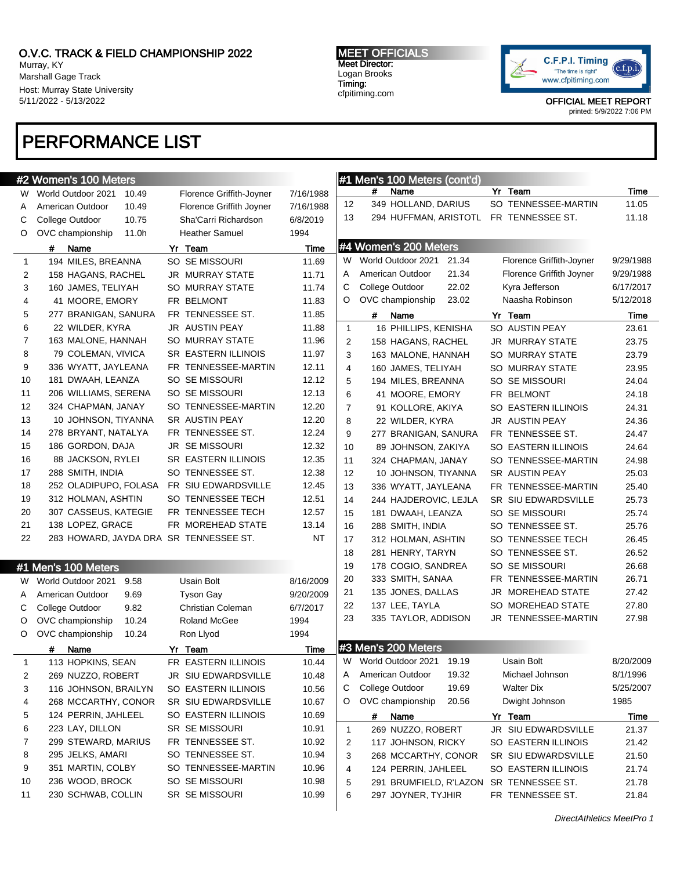Murray, KY Marshall Gage Track Host: Murray State University 5/11/2022 - 5/13/2022

### MEET OFFICIALS Meet Director: Logan Brooks Timing: cfpitiming.com



OFFICIAL MEET REPORT printed: 5/9/2022 7:06 PM

# PERFORMANCE LIST

|                | #2 Women's 100 Meters                  |                            |           |                | #1 Men's 100 Meters (cont'd)            |                            |           |
|----------------|----------------------------------------|----------------------------|-----------|----------------|-----------------------------------------|----------------------------|-----------|
| W.             | World Outdoor 2021<br>10.49            | Florence Griffith-Joyner   | 7/16/1988 |                | #<br>Name                               | Yr Team                    | Time      |
| A              | American Outdoor<br>10.49              | Florence Griffith Joyner   | 7/16/1988 | 12             | 349 HOLLAND, DARIUS                     | SO TENNESSEE-MARTIN        | 11.05     |
| С              | College Outdoor<br>10.75               | Sha'Carri Richardson       | 6/8/2019  | 13             | 294 HUFFMAN, ARISTOTL FR TENNESSEE ST.  |                            | 11.18     |
| O              | OVC championship<br>11.0h              | <b>Heather Samuel</b>      | 1994      |                |                                         |                            |           |
|                | #<br>Name                              | Yr Team                    | Time      |                | #4 Women's 200 Meters                   |                            |           |
| $\mathbf{1}$   | 194 MILES, BREANNA                     | SO SE MISSOURI             | 11.69     | W              | World Outdoor 2021<br>21.34             | Florence Griffith-Joyner   | 9/29/1988 |
| 2              | 158 HAGANS, RACHEL                     | <b>JR MURRAY STATE</b>     | 11.71     | A              | 21.34<br>American Outdoor               | Florence Griffith Joyner   | 9/29/1988 |
| 3              | 160 JAMES, TELIYAH                     | <b>SO MURRAY STATE</b>     | 11.74     | С              | College Outdoor<br>22.02                | Kyra Jefferson             | 6/17/2017 |
| 4              | 41 MOORE, EMORY                        | FR BELMONT                 | 11.83     | O              | OVC championship<br>23.02               | Naasha Robinson            | 5/12/2018 |
| 5              | 277 BRANIGAN, SANURA                   | FR TENNESSEE ST.           | 11.85     |                | #<br>Name                               | Yr Team                    | Time      |
| 6              | 22 WILDER, KYRA                        | <b>JR AUSTIN PEAY</b>      | 11.88     | $\mathbf{1}$   | 16 PHILLIPS, KENISHA                    | SO AUSTIN PEAY             | 23.61     |
| $\overline{7}$ | 163 MALONE, HANNAH                     | <b>SO MURRAY STATE</b>     | 11.96     | $\overline{2}$ | 158 HAGANS, RACHEL                      | JR MURRAY STATE            | 23.75     |
| 8              | 79 COLEMAN, VIVICA                     | <b>SR EASTERN ILLINOIS</b> | 11.97     | 3              | 163 MALONE, HANNAH                      | SO MURRAY STATE            | 23.79     |
| 9              | 336 WYATT, JAYLEANA                    | FR TENNESSEE-MARTIN        | 12.11     | 4              | 160 JAMES, TELIYAH                      | <b>SO MURRAY STATE</b>     | 23.95     |
| 10             | 181 DWAAH, LEANZA                      | SO SE MISSOURI             | 12.12     | 5              | 194 MILES, BREANNA                      | <b>SO SE MISSOURI</b>      | 24.04     |
| 11             | 206 WILLIAMS, SERENA                   | SO SE MISSOURI             | 12.13     | 6              | 41 MOORE, EMORY                         | FR BELMONT                 | 24.18     |
| 12             | 324 CHAPMAN, JANAY                     | SO TENNESSEE-MARTIN        | 12.20     | 7              | 91 KOLLORE, AKIYA                       | <b>SO EASTERN ILLINOIS</b> | 24.31     |
| 13             | 10 JOHNSON, TIYANNA                    | <b>SR AUSTIN PEAY</b>      | 12.20     | 8              | 22 WILDER, KYRA                         | JR AUSTIN PEAY             | 24.36     |
| 14             | 278 BRYANT, NATALYA                    | FR TENNESSEE ST.           | 12.24     | 9              | 277 BRANIGAN, SANURA                    | FR TENNESSEE ST.           | 24.47     |
| 15             | 186 GORDON, DAJA                       | <b>JR SE MISSOURI</b>      | 12.32     | 10             | 89 JOHNSON, ZAKIYA                      | SO EASTERN ILLINOIS        | 24.64     |
| 16             | 88 JACKSON, RYLEI                      | <b>SR EASTERN ILLINOIS</b> | 12.35     | 11             | 324 CHAPMAN, JANAY                      | SO TENNESSEE-MARTIN        | 24.98     |
| 17             | 288 SMITH, INDIA                       | SO TENNESSEE ST.           | 12.38     | 12             | 10 JOHNSON, TIYANNA                     | SR AUSTIN PEAY             | 25.03     |
| 18             | 252 OLADIPUPO, FOLASA                  | FR SIU EDWARDSVILLE        | 12.45     | 13             | 336 WYATT, JAYLEANA                     | FR TENNESSEE-MARTIN        | 25.40     |
| 19             | 312 HOLMAN, ASHTIN                     | SO TENNESSEE TECH          | 12.51     | 14             | 244 HAJDEROVIC, LEJLA                   | SR SIU EDWARDSVILLE        | 25.73     |
| 20             | 307 CASSEUS, KATEGIE                   | FR TENNESSEE TECH          | 12.57     | 15             | 181 DWAAH, LEANZA                       | SO SE MISSOURI             | 25.74     |
| 21             | 138 LOPEZ, GRACE                       | FR MOREHEAD STATE          | 13.14     | 16             | 288 SMITH, INDIA                        | SO TENNESSEE ST.           | 25.76     |
| 22             | 283 HOWARD, JAYDA DRA SR TENNESSEE ST. |                            | NT        | 17             | 312 HOLMAN, ASHTIN                      | SO TENNESSEE TECH          | 26.45     |
|                |                                        |                            |           | 18             | 281 HENRY, TARYN                        | SO TENNESSEE ST.           | 26.52     |
|                | #1 Men's 100 Meters                    |                            |           | 19             | 178 COGIO, SANDREA                      | SO SE MISSOURI             | 26.68     |
| W              | World Outdoor 2021<br>9.58             | Usain Bolt                 | 8/16/2009 | 20             | 333 SMITH, SANAA                        | FR TENNESSEE-MARTIN        | 26.71     |
| A              | American Outdoor<br>9.69               | <b>Tyson Gay</b>           | 9/20/2009 | 21             | 135 JONES, DALLAS                       | MOREHEAD STATE<br>JR       | 27.42     |
| С              | College Outdoor<br>9.82                | Christian Coleman          | 6/7/2017  | 22             | 137 LEE, TAYLA                          | MOREHEAD STATE<br>SO.      | 27.80     |
| O              | OVC championship<br>10.24              | <b>Roland McGee</b>        | 1994      | 23             | 335 TAYLOR, ADDISON                     | JR TENNESSEE-MARTIN        | 27.98     |
| O              | OVC championship<br>10.24              | Ron Llyod                  | 1994      |                |                                         |                            |           |
|                | Name<br>#                              | Yr Team                    | Time      |                | #3 Men's 200 Meters                     |                            |           |
|                | 113 HOPKINS, SEAN                      | FR EASTERN ILLINOIS        | 10.44     |                | W World Outdoor 2021 19.19              | Usain Bolt                 | 8/20/2009 |
| 2              | 269 NUZZO, ROBERT                      | JR SIU EDWARDSVILLE        | 10.48     | A              | American Outdoor<br>19.32               | Michael Johnson            | 8/1/1996  |
| 3              | 116 JOHNSON, BRAILYN                   | SO EASTERN ILLINOIS        | 10.56     | С              | College Outdoor<br>19.69                | <b>Walter Dix</b>          | 5/25/2007 |
| 4              | 268 MCCARTHY, CONOR                    | SR SIU EDWARDSVILLE        | 10.67     | O              | OVC championship<br>20.56               | Dwight Johnson             | 1985      |
| 5              | 124 PERRIN, JAHLEEL                    | SO EASTERN ILLINOIS        | 10.69     |                | Name<br>#                               | Yr Team                    | Time      |
| 6              | 223 LAY, DILLON                        | SR SE MISSOURI             | 10.91     | $\mathbf{1}$   | 269 NUZZO, ROBERT                       | JR SIU EDWARDSVILLE        | 21.37     |
| 7              | 299 STEWARD, MARIUS                    | FR TENNESSEE ST.           | 10.92     | 2              | 117 JOHNSON, RICKY                      | SO EASTERN ILLINOIS        | 21.42     |
| 8              | 295 JELKS, AMARI                       | SO TENNESSEE ST.           | 10.94     | 3              | 268 MCCARTHY, CONOR                     | SR SIU EDWARDSVILLE        | 21.50     |
| 9              | 351 MARTIN, COLBY                      | SO TENNESSEE-MARTIN        | 10.96     | 4              | 124 PERRIN, JAHLEEL                     | SO EASTERN ILLINOIS        | 21.74     |
| 10             | 236 WOOD, BROCK                        | SO SE MISSOURI             | 10.98     | 5              | 291 BRUMFIELD, R'LAZON SR TENNESSEE ST. |                            | 21.78     |
| 11             | 230 SCHWAB, COLLIN                     | SR SE MISSOURI             | 10.99     | 6              | 297 JOYNER, TYJHIR                      | FR TENNESSEE ST.           | 21.84     |
|                |                                        |                            |           |                |                                         |                            |           |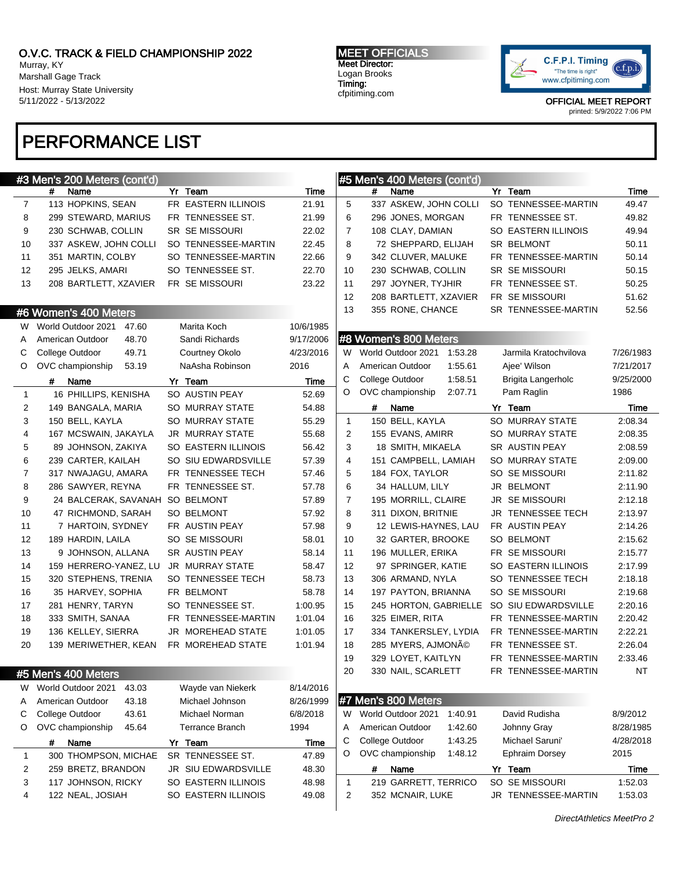Murray, KY Marshall Gage Track Host: Murray State University 5/11/2022 - 5/13/2022

#3 Men's 200 Meters (cont'd)

#6 Women's 400 Meters

# PERFORMANCE LIST

MEET OFFICIALS Meet Director: Logan Brooks Timing: cfpitiming.com

#5 Men's 400 Meters (cont'd)

#8 Women's 800 Meters



# Name Yr Team Time 5 337 ASKEW, JOHN COLLI SO TENNESSEE-MARTIN 49.47 6 296 JONES, MORGAN FR TENNESSEE ST. 49.82 7 108 CLAY, DAMIAN SO EASTERN ILLINOIS 49.94 8 72 SHEPPARD, ELIJAH SR BELMONT 60.11 9 342 CLUVER, MALUKE FR TENNESSEE-MARTIN 50.14 10 230 SCHWAB, COLLIN SR SE MISSOURI 50.15 11 297 JOYNER, TYJHIR FR TENNESSEE ST. 50.25 12 208 BARTLETT, XZAVIER FR SE MISSOURI 51.62 13 355 RONE, CHANCE SR TENNESSEE-MARTIN 52.56

W World Outdoor 2021 1:53.28 Jarmila Kratochvilova 7/26/1983 A American Outdoor 1:55.61 Ajee' Wilson 7/21/2017 C College Outdoor 1:58.51 Brigita Langerholc 9/25/2000 O OVC championship 2:07.71 Pam Raglin 1986

# Name Yr Team Time 1 150 BELL, KAYLA SO MURRAY STATE 2:08.34 2 155 EVANS, AMIRR SO MURRAY STATE 2:08.35 3 18 SMITH, MIKAELA SR AUSTIN PEAY 2:08.59 4 151 CAMPBELL, LAMIAH SO MURRAY STATE 2:09.00

OFFICIAL MEET REPORT printed: 5/9/2022 7:06 PM

| 8<br>9<br>10                                 | 286 SAWYER, REYNA<br>24 BALCERAK, SAVANAH SO BELMONT<br>47 RICHMOND, SARAH<br>7 HARTOIN, SYDNEY<br>189 HARDIN, LAILA<br>9 JOHNSON, ALLANA<br>159 HERRERO-YANEZ, LU<br>320 STEPHENS, TRENIA | FR TENNESSEE ST.<br>SO BELMONT<br>FR AUSTIN PEAY<br>SO SE MISSOURI | 57.78<br>57.89<br>57.92<br>57.98 | 6<br>7<br>8<br>9 | 34 HALLUM, LILY<br>195 MORRILL, CLAIRE<br>311 DIXON, BRITNIE<br>12 LEWIS-HAYNES, LAU |         | JR BELMONT<br><b>JR SEMISSOURI</b><br>JR TENNESSEE TECH | 2:11.90<br>2:12.18<br>2:13.97 |
|----------------------------------------------|--------------------------------------------------------------------------------------------------------------------------------------------------------------------------------------------|--------------------------------------------------------------------|----------------------------------|------------------|--------------------------------------------------------------------------------------|---------|---------------------------------------------------------|-------------------------------|
| 11<br>12<br>13<br>14<br>15<br>16<br>17<br>18 |                                                                                                                                                                                            |                                                                    |                                  |                  |                                                                                      |         |                                                         |                               |
|                                              |                                                                                                                                                                                            |                                                                    |                                  |                  |                                                                                      |         |                                                         |                               |
|                                              |                                                                                                                                                                                            |                                                                    |                                  |                  |                                                                                      |         |                                                         |                               |
|                                              |                                                                                                                                                                                            |                                                                    |                                  |                  |                                                                                      |         | FR AUSTIN PEAY                                          | 2:14.26                       |
|                                              |                                                                                                                                                                                            |                                                                    | 58.01                            | 10               | 32 GARTER, BROOKE                                                                    |         | SO BELMONT                                              | 2:15.62                       |
|                                              |                                                                                                                                                                                            | SR AUSTIN PEAY                                                     | 58.14                            | 11               | 196 MULLER, ERIKA                                                                    |         | FR SE MISSOURI                                          | 2:15.77                       |
|                                              |                                                                                                                                                                                            | JR MURRAY STATE                                                    | 58.47                            | 12               | 97 SPRINGER, KATIE                                                                   |         | SO EASTERN ILLINOIS                                     | 2:17.99                       |
|                                              |                                                                                                                                                                                            | SO TENNESSEE TECH                                                  | 58.73                            | 13               | 306 ARMAND, NYLA                                                                     |         | SO TENNESSEE TECH                                       | 2:18.18                       |
|                                              | 35 HARVEY, SOPHIA                                                                                                                                                                          | FR BELMONT                                                         | 58.78                            | 14               | 197 PAYTON, BRIANNA                                                                  |         | SO SE MISSOURI                                          | 2:19.68                       |
|                                              | 281 HENRY, TARYN                                                                                                                                                                           | SO TENNESSEE ST.                                                   | 1:00.95                          | 15               | 245 HORTON, GABRIELLE                                                                |         | SO SIU EDWARDSVILLE                                     | 2:20.16                       |
|                                              | 333 SMITH, SANAA                                                                                                                                                                           | FR TENNESSEE-MARTIN                                                | 1:01.04                          | 16               | 325 EIMER, RITA                                                                      |         | FR TENNESSEE-MARTIN                                     | 2:20.42                       |
| 19                                           | 136 KELLEY, SIERRA                                                                                                                                                                         | JR MOREHEAD STATE                                                  | 1:01.05                          | 17               | 334 TANKERSLEY, LYDIA                                                                |         | FR TENNESSEE-MARTIN                                     | 2:22.21                       |
| 20                                           | 139 MERIWETHER, KEAN                                                                                                                                                                       | FR MOREHEAD STATE                                                  | 1:01.94                          | 18               | 285 MYERS, AJMONé                                                                    |         | FR TENNESSEE ST.                                        | 2:26.04                       |
|                                              |                                                                                                                                                                                            |                                                                    |                                  | 19               | 329 LOYET, KAITLYN                                                                   |         | FR TENNESSEE-MARTIN                                     | 2:33.46                       |
|                                              | #5 Men's 400 Meters                                                                                                                                                                        |                                                                    |                                  | 20               | 330 NAIL, SCARLETT                                                                   |         | FR TENNESSEE-MARTIN                                     | <b>NT</b>                     |
|                                              | W World Outdoor 2021<br>43.03                                                                                                                                                              | Wayde van Niekerk                                                  | 8/14/2016                        |                  |                                                                                      |         |                                                         |                               |
|                                              | A American Outdoor<br>43.18                                                                                                                                                                | Michael Johnson                                                    | 8/26/1999                        |                  | #7 Men's 800 Meters                                                                  |         |                                                         |                               |
| C                                            | College Outdoor<br>43.61                                                                                                                                                                   | Michael Norman                                                     | 6/8/2018                         | W                | World Outdoor 2021                                                                   | 1:40.91 | David Rudisha                                           | 8/9/2012                      |
|                                              | O OVC championship<br>45.64                                                                                                                                                                | <b>Terrance Branch</b>                                             | 1994                             | A                | American Outdoor                                                                     | 1:42.60 | Johnny Gray                                             | 8/28/1985                     |
| #                                            | Name                                                                                                                                                                                       | Yr Team                                                            | Time                             | С                | College Outdoor                                                                      | 1:43.25 | Michael Saruni'                                         | 4/28/2018                     |
| $\mathbf{1}$                                 | 300 THOMPSON, MICHAE                                                                                                                                                                       | SR TENNESSEE ST.                                                   | 47.89                            | O                | OVC championship                                                                     | 1:48.12 | <b>Ephraim Dorsey</b>                                   | 2015                          |
| $\overline{2}$                               | 259 BRETZ, BRANDON                                                                                                                                                                         | JR SIU EDWARDSVILLE                                                | 48.30                            |                  | #<br>Name                                                                            |         | Yr Team                                                 | <b>Time</b>                   |
| 3                                            | 117 JOHNSON, RICKY                                                                                                                                                                         | SO EASTERN ILLINOIS                                                | 48.98                            | 1                | 219 GARRETT, TERRICO                                                                 |         | SO SE MISSOURI                                          | 1:52.03                       |
| 4                                            | 122 NEAL, JOSIAH                                                                                                                                                                           | SO EASTERN ILLINOIS                                                | 49.08                            | $\overline{2}$   | 352 MCNAIR, LUKE                                                                     |         | JR TENNESSEE-MARTIN                                     | 1:53.03                       |
|                                              |                                                                                                                                                                                            |                                                                    |                                  |                  |                                                                                      |         |                                                         |                               |
|                                              |                                                                                                                                                                                            |                                                                    |                                  |                  |                                                                                      |         | DirectAthletics MeetPro 2                               |                               |
|                                              |                                                                                                                                                                                            |                                                                    |                                  |                  |                                                                                      |         |                                                         |                               |
|                                              |                                                                                                                                                                                            |                                                                    |                                  |                  |                                                                                      |         |                                                         |                               |
|                                              |                                                                                                                                                                                            |                                                                    |                                  |                  |                                                                                      |         |                                                         |                               |
|                                              |                                                                                                                                                                                            |                                                                    |                                  |                  |                                                                                      |         |                                                         |                               |

# Name Yr Team Time 7 113 HOPKINS, SEAN FR EASTERN ILLINOIS 21.91 8 299 STEWARD, MARIUS FR TENNESSEE ST. 21.99 9 230 SCHWAB, COLLIN SR SE MISSOURI 22.02 10 337 ASKEW, JOHN COLLI SO TENNESSEE-MARTIN 22.45 11 351 MARTIN, COLBY SO TENNESSEE-MARTIN 22.66 12 295 JELKS, AMARI SO TENNESSEE ST. 22.70 13 208 BARTLETT, XZAVIER FR SE MISSOURI 23.22

W World Outdoor 2021 47.60 Marita Koch 10/6/1985 A American Outdoor 48.70 Sandi Richards 9/17/2006 C College Outdoor 49.71 Courtney Okolo 4/23/2016 O OVC championship 53.19 NaAsha Robinson 2016

# Name Yr Team Time 1 16 PHILLIPS, KENISHA SO AUSTIN PEAY 52.69 2 149 BANGALA, MARIA SO MURRAY STATE 54.88 3 150 BELL, KAYLA SO MURRAY STATE 55.29 4 167 MCSWAIN, JAKAYLA JR MURRAY STATE 55.68 5 89 JOHNSON, ZAKIYA SO EASTERN ILLINOIS 56.42 6 239 CARTER, KAILAH SO SIU EDWARDSVILLE 57.39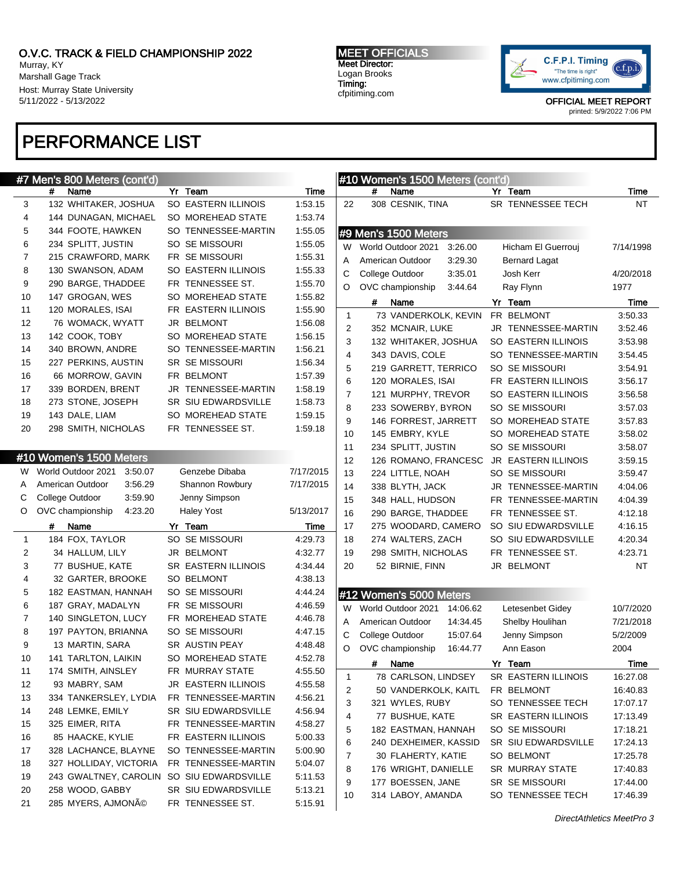Murray, KY Marshall Gage Track Host: Murray State University 5/11/2022 - 5/13/2022

# PERFORMANCE LIST

MEET OFFICIALS Meet Director: Logan Brooks Timing: cfpitiming.com



OFFICIAL MEET REPORT

printed: 5/9/2022 7:06 PM

 $7/14/1998$ 

4/20/2018

10/7/2020 7/21/2018  $5/2/2009$ 

|                | #7 Men's 800 Meters (cont'd)              |                                               |             |                         | #10 Women's 1500 Meters (cont'd) |                            |           |
|----------------|-------------------------------------------|-----------------------------------------------|-------------|-------------------------|----------------------------------|----------------------------|-----------|
|                | #<br>Name                                 | Yr Team                                       | Time        |                         | #<br>Name                        | Yr Team                    | Time      |
| 3              | 132 WHITAKER, JOSHUA                      | SO EASTERN ILLINOIS                           | 1:53.15     | 22                      | 308 CESNIK, TINA                 | SR TENNESSEE TECH          | <b>NT</b> |
| 4              | 144 DUNAGAN, MICHAEL                      | SO MOREHEAD STATE                             | 1:53.74     |                         |                                  |                            |           |
| 5              | 344 FOOTE, HAWKEN                         | SO TENNESSEE-MARTIN                           | 1:55.05     |                         | #9 Men's 1500 Meters             |                            |           |
| 6              | 234 SPLITT, JUSTIN                        | SO SE MISSOURI                                | 1:55.05     |                         | W World Outdoor 2021<br>3:26.00  | Hicham El Guerrouj         | 7/14/199  |
| 7              | 215 CRAWFORD, MARK                        | FR SE MISSOURI                                | 1:55.31     | A                       | American Outdoor<br>3:29.30      | Bernard Lagat              |           |
| 8              | 130 SWANSON, ADAM                         | SO EASTERN ILLINOIS                           | 1:55.33     | С                       | College Outdoor<br>3:35.01       | Josh Kerr                  | 4/20/201  |
| 9              | 290 BARGE, THADDEE                        | FR TENNESSEE ST.                              | 1:55.70     | O                       | OVC championship<br>3:44.64      | Ray Flynn                  | 1977      |
| 10             | 147 GROGAN, WES                           | SO MOREHEAD STATE                             | 1:55.82     |                         | #<br>Name                        | Yr Team                    | Time      |
| 11             | 120 MORALES, ISAI                         | FR EASTERN ILLINOIS                           | 1:55.90     | $\mathbf{1}$            | 73 VANDERKOLK, KEVIN             | FR BELMONT                 | 3:50.33   |
| 12             | 76 WOMACK, WYATT                          | JR BELMONT                                    | 1:56.08     | 2                       | 352 MCNAIR, LUKE                 | JR TENNESSEE-MARTIN        | 3:52.46   |
| 13             | 142 COOK, TOBY                            | SO MOREHEAD STATE                             | 1:56.15     | 3                       | 132 WHITAKER, JOSHUA             | SO EASTERN ILLINOIS        | 3:53.98   |
| 14             | 340 BROWN, ANDRE                          | SO TENNESSEE-MARTIN                           | 1:56.21     | $\overline{\mathbf{4}}$ | 343 DAVIS, COLE                  | SO TENNESSEE-MARTIN        | 3:54.45   |
| 15             | 227 PERKINS, AUSTIN                       | <b>SR SE MISSOURI</b>                         | 1:56.34     | 5                       | 219 GARRETT, TERRICO             | SO SE MISSOURI             | 3:54.91   |
| 16             | 66 MORROW, GAVIN                          | FR BELMONT                                    | 1:57.39     | 6                       | 120 MORALES, ISAI                | FR EASTERN ILLINOIS        | 3:56.17   |
| 17             | 339 BORDEN, BRENT                         | JR TENNESSEE-MARTIN                           | 1:58.19     | $\overline{7}$          | 121 MURPHY, TREVOR               | SO EASTERN ILLINOIS        | 3:56.58   |
| 18             | 273 STONE, JOSEPH                         | SR SIU EDWARDSVILLE                           | 1:58.73     | 8                       | 233 SOWERBY, BYRON               | SO SE MISSOURI             | 3:57.03   |
| 19             | 143 DALE, LIAM                            | SO MOREHEAD STATE                             | 1:59.15     | $\boldsymbol{9}$        | 146 FORREST, JARRETT             | SO MOREHEAD STATE          | 3:57.83   |
| 20             | 298 SMITH, NICHOLAS                       | FR TENNESSEE ST.                              | 1:59.18     | 10                      | 145 EMBRY, KYLE                  | SO MOREHEAD STATE          | 3:58.02   |
|                |                                           |                                               |             | 11                      | 234 SPLITT, JUSTIN               | SO SE MISSOURI             | 3:58.07   |
|                | #10 Women's 1500 Meters                   |                                               |             | 12                      | 126 ROMANO, FRANCESC             | <b>JR EASTERN ILLINOIS</b> | 3:59.15   |
| W              | World Outdoor 2021<br>3:50.07             | Genzebe Dibaba                                | 7/17/2015   | 13                      | 224 LITTLE, NOAH                 | SO SE MISSOURI             | 3:59.47   |
| A              | American Outdoor<br>3:56.29               | Shannon Rowbury                               | 7/17/2015   | 14                      | 338 BLYTH, JACK                  | JR TENNESSEE-MARTIN        | 4:04.06   |
| С              | College Outdoor<br>3:59.90                | Jenny Simpson                                 |             | 15                      | 348 HALL, HUDSON                 | FR TENNESSEE-MARTIN        | 4:04.39   |
| O              | OVC championship<br>4:23.20               | <b>Haley Yost</b>                             | 5/13/2017   | 16                      | 290 BARGE, THADDEE               | FR TENNESSEE ST.           | 4:12.18   |
|                | #<br>Name                                 | Yr Team                                       | <b>Time</b> | 17                      | 275 WOODARD, CAMERO              | SO SIU EDWARDSVILLE        | 4:16.15   |
| $\mathbf{1}$   | 184 FOX, TAYLOR                           | SO SE MISSOURI                                | 4:29.73     | 18                      | 274 WALTERS, ZACH                | SO SIU EDWARDSVILLE        | 4:20.34   |
| 2              | 34 HALLUM, LILY                           | JR BELMONT                                    | 4:32.77     | 19                      | 298 SMITH, NICHOLAS              | FR TENNESSEE ST.           | 4:23.71   |
| 3              | 77 BUSHUE, KATE                           | SR EASTERN ILLINOIS                           | 4:34.44     | 20                      | 52 BIRNIE, FINN                  | JR BELMONT                 | NT        |
| 4              | 32 GARTER, BROOKE                         | SO BELMONT                                    | 4:38.13     |                         |                                  |                            |           |
| 5              | 182 EASTMAN, HANNAH                       | SO SE MISSOURI                                | 4:44.24     |                         |                                  |                            |           |
| 6              | 187 GRAY, MADALYN                         | FR SE MISSOURI                                | 4:46.59     |                         | #12 Women's 5000 Meters          |                            |           |
| $\overline{7}$ | 140 SINGLETON, LUCY                       | FR MOREHEAD STATE                             | 4:46.78     | W                       | World Outdoor 2021<br>14:06.62   | Letesenbet Gidey           | 10/7/202  |
| 8              | 197 PAYTON, BRIANNA                       | SO SE MISSOURI                                | 4:47.15     | A                       | American Outdoor<br>14:34.45     | Shelby Houlihan            | 7/21/201  |
| 9              | 13 MARTIN, SARA                           | SR AUSTIN PEAY                                | 4:48.48     | С                       | College Outdoor<br>15:07.64      | Jenny Simpson              | 5/2/2009  |
| 10             | 141 TARLTON, LAIKIN                       | SO MOREHEAD STATE                             | 4:52.78     | O                       | OVC championship<br>16:44.77     | Ann Eason                  | 2004      |
|                | 174 SMITH, AINSLEY                        |                                               | 4:55.50     |                         | #<br>Name                        | Yr Team                    | Time      |
| 11<br>12       | 93 MABRY, SAM                             | FR MURRAY STATE<br><b>JR EASTERN ILLINOIS</b> | 4:55.58     | 1                       | 78 CARLSON, LINDSEY              | SR EASTERN ILLINOIS        | 16:27.08  |
| 13             | 334 TANKERSLEY, LYDIA                     | FR TENNESSEE-MARTIN                           | 4:56.21     | 2                       | 50 VANDERKOLK, KAITL             | FR BELMONT                 | 16:40.83  |
|                |                                           |                                               |             | 3                       | 321 WYLES, RUBY                  | SO TENNESSEE TECH          | 17:07.17  |
| 14             | 248 LEMKE, EMILY<br>325 EIMER, RITA       | SR SIU EDWARDSVILLE                           | 4:56.94     | 4                       | 77 BUSHUE, KATE                  | SR EASTERN ILLINOIS        | 17:13.49  |
| 15             |                                           | FR TENNESSEE-MARTIN                           | 4:58.27     | 5                       | 182 EASTMAN, HANNAH              | SO SE MISSOURI             | 17:18.21  |
| 16             | 85 HAACKE, KYLIE                          | FR EASTERN ILLINOIS                           | 5:00.33     | 6                       | 240 DEXHEIMER, KASSID            | SR SIU EDWARDSVILLE        | 17:24.13  |
| 17             | 328 LACHANCE, BLAYNE                      | SO TENNESSEE-MARTIN                           | 5:00.90     | 7                       | 30 FLAHERTY, KATIE               | SO BELMONT                 | 17:25.78  |
| 18             | 327 HOLLIDAY, VICTORIA                    | FR TENNESSEE-MARTIN                           | 5:04.07     | 8                       | 176 WRIGHT, DANIELLE             | SR MURRAY STATE            | 17:40.83  |
| 19             | 243 GWALTNEY, CAROLIN SO SIU EDWARDSVILLE |                                               | 5:11.53     | 9                       | 177 BOESSEN, JANE                | SR SE MISSOURI             | 17:44.00  |
| 20             | 258 WOOD, GABBY                           | SR SIU EDWARDSVILLE                           | 5:13.21     | 10                      | 314 LABOY, AMANDA                | SO TENNESSEE TECH          | 17:46.39  |
| 21             | 285 MYERS, AJMONÃO                        | FR TENNESSEE ST.                              | 5:15.91     |                         |                                  |                            |           |

DirectAthletics MeetPro 3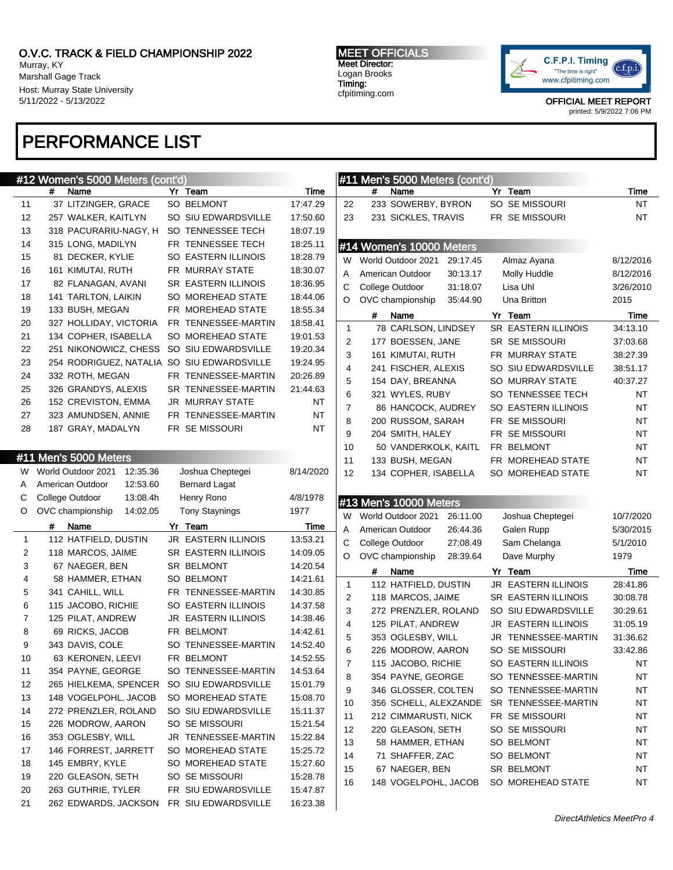Murray, KY Marshall Gage Track Host: Murray State University 5/11/2022 - 5/13/2022

# PERFORMANCE LIST

MEET OFFICIALS Meet Director: Logan Brooks Timing: cfpitiming.com



OFFICIAL MEET REPORT

printed: 5/9/2022 7:06 PM

|              | #12 Women's 5000 Meters (cont'd)           |                                            |                      |                | #11 Men's 5000 Meters (cont'd) |                     |           |
|--------------|--------------------------------------------|--------------------------------------------|----------------------|----------------|--------------------------------|---------------------|-----------|
|              | Name<br>#                                  | Yr Team                                    | Time                 |                | #<br>Name                      | Yr Team             | Time      |
| 11           | 37 LITZINGER, GRACE                        | SO BELMONT                                 | 17:47.29             | 22             | 233 SOWERBY, BYRON             | SO SE MISSOURI      | <b>NT</b> |
| 12           | 257 WALKER, KAITLYN                        | SO SIU EDWARDSVILLE                        | 17:50.60             | 23             | 231 SICKLES, TRAVIS            | FR SE MISSOURI      | <b>NT</b> |
| 13           | 318 PACURARIU-NAGY, H                      | SO TENNESSEE TECH                          | 18:07.19             |                |                                |                     |           |
| 14           | 315 LONG, MADILYN                          | FR TENNESSEE TECH                          | 18:25.11             |                | #14 Women's 10000 Meters       |                     |           |
| 15           | 81 DECKER, KYLIE                           | SO EASTERN ILLINOIS                        | 18:28.79             | W              | World Outdoor 2021<br>29:17.45 | Almaz Ayana         | 8/12/2016 |
| 16           | 161 KIMUTAI, RUTH                          | FR MURRAY STATE                            | 18:30.07             | Α              | American Outdoor<br>30:13.17   | Molly Huddle        | 8/12/2016 |
| 17           | 82 FLANAGAN, AVANI                         | SR EASTERN ILLINOIS                        | 18:36.95             | С              | College Outdoor<br>31:18.07    | Lisa Uhl            | 3/26/2010 |
| 18           | 141 TARLTON, LAIKIN                        | SO MOREHEAD STATE                          | 18:44.06             | O              | OVC championship<br>35:44.90   | Una Britton         | 2015      |
| 19           | 133 BUSH, MEGAN                            | FR MOREHEAD STATE                          | 18:55.34             |                |                                |                     |           |
| 20           | 327 HOLLIDAY, VICTORIA                     | FR TENNESSEE-MARTIN                        | 18:58.41             |                | #<br>Name                      | Yr Team             | Time      |
| 21           | 134 COPHER, ISABELLA                       | SO MOREHEAD STATE                          | 19:01.53             | $\mathbf{1}$   | 78 CARLSON, LINDSEY            | SR EASTERN ILLINOIS | 34:13.10  |
| 22           |                                            | 251 NIKONOWICZ, CHESS SO SIU EDWARDSVILLE  | 19:20.34             | 2              | 177 BOESSEN, JANE              | SR SE MISSOURI      | 37:03.68  |
| 23           | 254 RODRIGUEZ, NATALIA                     | SO SIU EDWARDSVILLE                        | 19:24.95             | 3              | 161 KIMUTAI, RUTH              | FR MURRAY STATE     | 38:27.39  |
| 24           | 332 ROTH, MEGAN                            | FR TENNESSEE-MARTIN                        | 20:26.89             | $\overline{4}$ | 241 FISCHER, ALEXIS            | SO SIU EDWARDSVILLE | 38:51.17  |
| 25           | 326 GRANDYS, ALEXIS                        | SR TENNESSEE-MARTIN                        | 21:44.63             | 5              | 154 DAY, BREANNA               | SO MURRAY STATE     | 40:37.27  |
| 26           | 152 CREVISTON, EMMA                        | JR MURRAY STATE                            | ΝT                   | 6              | 321 WYLES, RUBY                | SO TENNESSEE TECH   | ΝT        |
| 27           | 323 AMUNDSEN, ANNIE                        | FR TENNESSEE-MARTIN                        | NT                   | $\overline{7}$ | 86 HANCOCK, AUDREY             | SO EASTERN ILLINOIS | NT        |
| 28           | 187 GRAY, MADALYN                          | FR SE MISSOURI                             | NT                   | 8              | 200 RUSSOM, SARAH              | FR SE MISSOURI      | NT        |
|              |                                            |                                            |                      | 9              | 204 SMITH, HALEY               | FR SE MISSOURI      | NT        |
|              |                                            |                                            |                      | 10             | 50 VANDERKOLK, KAITL           | FR BELMONT          | NT        |
|              | #11 Men's 5000 Meters                      |                                            |                      | 11             | 133 BUSH, MEGAN                | FR MOREHEAD STATE   | NT        |
| W.           | World Outdoor 2021<br>12:35.36             | Joshua Cheptegei                           | 8/14/2020            | 12             | 134 COPHER, ISABELLA           | SO MOREHEAD STATE   | NT        |
| A            | American Outdoor<br>12:53.60               | <b>Bernard Lagat</b>                       |                      |                |                                |                     |           |
| С            |                                            |                                            |                      |                |                                |                     |           |
|              | College Outdoor<br>13:08.4h                | Henry Rono                                 | 4/8/1978             |                |                                |                     |           |
| O            | OVC championship<br>14:02.05               | <b>Tony Staynings</b>                      | 1977                 |                | #13 Men's 10000 Meters         |                     |           |
|              | #<br>Name                                  | Yr Team                                    | Time                 | W              | World Outdoor 2021<br>26:11.00 | Joshua Cheptegei    | 10/7/2020 |
| $\mathbf{1}$ | 112 HATFIELD, DUSTIN                       | JR EASTERN ILLINOIS                        | 13:53.21             | Α              | American Outdoor<br>26:44.36   | Galen Rupp          | 5/30/2015 |
| 2            | 118 MARCOS, JAIME                          | <b>SR EASTERN ILLINOIS</b>                 | 14:09.05             | С              | College Outdoor<br>27:08.49    | Sam Chelanga        | 5/1/2010  |
| 3            | 67 NAEGER, BEN                             | SR BELMONT                                 | 14:20.54             | O              | OVC championship<br>28:39.64   | Dave Murphy         | 1979      |
| 4            | 58 HAMMER, ETHAN                           | SO BELMONT                                 | 14:21.61             |                | Name<br>#                      | Yr Team             | Time      |
| 5            | 341 CAHILL, WILL                           |                                            | 14:30.85             | 1              | 112 HATFIELD, DUSTIN           | JR EASTERN ILLINOIS | 28:41.86  |
| 6            | 115 JACOBO, RICHIE                         | FR TENNESSEE-MARTIN                        |                      | 2              | 118 MARCOS, JAIME              | SR EASTERN ILLINOIS | 30:08.78  |
| 7            | 125 PILAT, ANDREW                          | SO EASTERN ILLINOIS<br>JR EASTERN ILLINOIS | 14:37.58             | 3              | 272 PRENZLER, ROLAND           | SO SIU EDWARDSVILLE | 30:29.61  |
|              |                                            |                                            | 14:38.46             | $\overline{4}$ | 125 PILAT, ANDREW              | JR EASTERN ILLINOIS | 31:05.19  |
| 8            | 69 RICKS, JACOB                            | FR BELMONT                                 | 14:42.61             | 5              | 353 OGLESBY, WILL              | JR TENNESSEE-MARTIN | 31:36.62  |
| 9            | 343 DAVIS, COLE                            | SO TENNESSEE-MARTIN                        | 14:52.40             | 6              | 226 MODROW, AARON              | SO SE MISSOURI      | 33:42.86  |
| 10           | 63 KERONEN, LEEVI                          | FR BELMONT                                 | 14:52.55             | 7              | 115 JACOBO, RICHIE             | SO EASTERN ILLINOIS | ΝT        |
| 11           | 354 PAYNE, GEORGE                          | SO TENNESSEE-MARTIN                        | 14:53.64             | 8              | 354 PAYNE, GEORGE              | SO TENNESSEE-MARTIN | <b>NT</b> |
| 12           | 265 HIELKEMA, SPENCER                      | SO SIU EDWARDSVILLE                        | 15:01.79             | 9              | 346 GLOSSER, COLTEN            | SO TENNESSEE-MARTIN | <b>NT</b> |
| 13           | 148 VOGELPOHL, JACOB                       | SO MOREHEAD STATE                          | 15:08.70             | 10             | 356 SCHELL, ALEXZANDE          | SR TENNESSEE-MARTIN | ΝT        |
| 14           | 272 PRENZLER, ROLAND                       | SO SIU EDWARDSVILLE                        | 15:11.37             | 11             | 212 CIMMARUSTI, NICK           | FR SE MISSOURI      | NT        |
| 15           | 226 MODROW, AARON                          | SO SE MISSOURI                             | 15:21.54             | 12             | 220 GLEASON, SETH              | SO SE MISSOURI      | NT        |
| 16           | 353 OGLESBY, WILL                          | JR TENNESSEE-MARTIN                        | 15:22.84             | 13             | 58 HAMMER, ETHAN               | SO BELMONT          | NT        |
| 17           | 146 FORREST, JARRETT                       | SO MOREHEAD STATE                          | 15:25.72             | 14             | 71 SHAFFER, ZAC                | SO BELMONT          | NT        |
| 18           | 145 EMBRY, KYLE                            | SO MOREHEAD STATE                          | 15:27.60             | 15             | 67 NAEGER, BEN                 | SR BELMONT          | <b>NT</b> |
| 19           | 220 GLEASON, SETH                          | SO SE MISSOURI                             | 15:28.78             | 16             | 148 VOGELPOHL, JACOB           | SO MOREHEAD STATE   | <b>NT</b> |
| 20<br>21     | 263 GUTHRIE, TYLER<br>262 EDWARDS, JACKSON | FR SIU EDWARDSVILLE<br>FR SIU EDWARDSVILLE | 15:47.87<br>16:23.38 |                |                                |                     |           |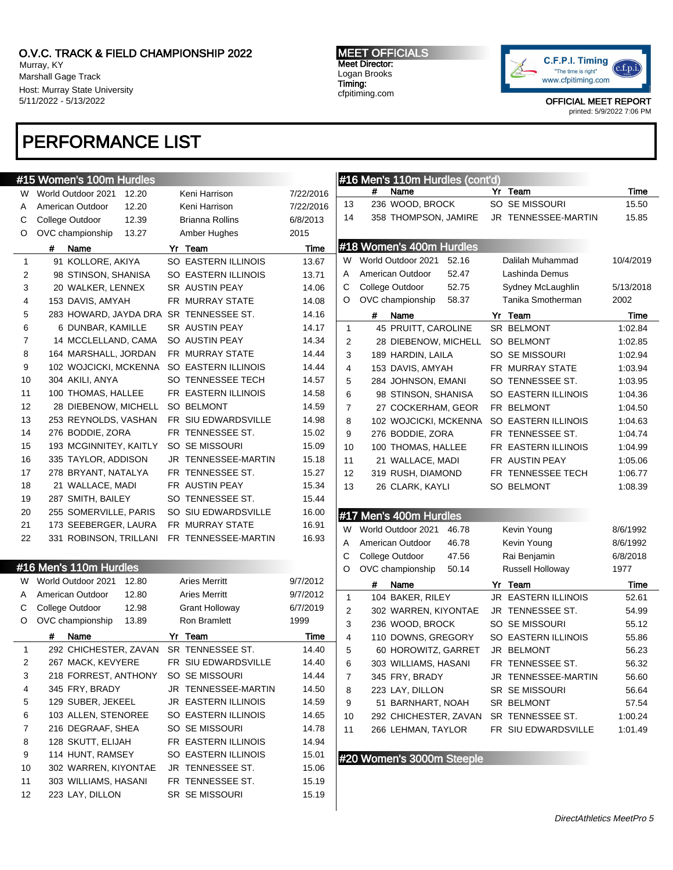Murray, KY Marshall Gage Track Host: Murray State University 5/11/2022 - 5/13/2022

# PERFORMANCE LIST

MEET OFFICIALS Meet Director: Logan Brooks Timing: cfpitiming.com



OFFICIAL MEET REPORT

printed: 5/9/2022 7:06 PM

|              | #15 Women's 100m Hurdles      |                      |           |                | #16 Men's 110m Hurdles (cont'd) |                     |           |
|--------------|-------------------------------|----------------------|-----------|----------------|---------------------------------|---------------------|-----------|
|              | W World Outdoor 2021<br>12.20 | Keni Harrison        | 7/22/2016 |                | #<br>Name                       | Yr Team             | Time      |
| A            | 12.20<br>American Outdoor     | Keni Harrison        | 7/22/2016 | 13             | 236 WOOD, BROCK                 | SO SE MISSOURI      | 15.50     |
| С            | College Outdoor<br>12.39      | Brianna Rollins      | 6/8/2013  | 14             | 358 THOMPSON, JAMIRE            | JR TENNESSEE-MARTIN | 15.85     |
| O            | 13.27<br>OVC championship     | Amber Hughes         | 2015      |                |                                 |                     |           |
|              | #<br>Name                     | Yr Team              | Time      |                | #18 Women's 400m Hurdles        |                     |           |
| $\mathbf{1}$ | 91 KOLLORE, AKIYA             | SO EASTERN ILLINOIS  | 13.67     |                | W World Outdoor 2021<br>52.16   | Dalilah Muhammad    | 10/4/2019 |
| 2            | 98 STINSON, SHANISA           | SO EASTERN ILLINOIS  | 13.71     | Α              | American Outdoor<br>52.47       | Lashinda Demus      |           |
| 3            | 20 WALKER, LENNEX             | SR AUSTIN PEAY       | 14.06     | С              | 52.75<br>College Outdoor        | Sydney McLaughlin   | 5/13/2018 |
| 4            | 153 DAVIS, AMYAH              | FR MURRAY STATE      | 14.08     | O              | OVC championship<br>58.37       | Tanika Smotherman   | 2002      |
| 5            | 283 HOWARD, JAYDA DRA         | SR TENNESSEE ST.     | 14.16     |                | #<br>Name                       | Yr Team             | Time      |
| 6            | 6 DUNBAR, KAMILLE             | SR AUSTIN PEAY       | 14.17     | $\mathbf{1}$   | 45 PRUITT, CAROLINE             | SR BELMONT          | 1:02.84   |
| 7            | 14 MCCLELLAND, CAMA           | SO AUSTIN PEAY       | 14.34     | $\overline{2}$ | 28 DIEBENOW, MICHELL            | SO BELMONT          | 1:02.85   |
| 8            | 164 MARSHALL, JORDAN          | FR MURRAY STATE      | 14.44     | 3              | 189 HARDIN, LAILA               | SO SE MISSOURI      | 1:02.94   |
| 9            | 102 WOJCICKI, MCKENNA         | SO EASTERN ILLINOIS  | 14.44     | 4              | 153 DAVIS, AMYAH                | FR MURRAY STATE     | 1:03.94   |
| 10           | 304 AKILI, ANYA               | SO TENNESSEE TECH    | 14.57     | 5              | 284 JOHNSON, EMANI              | SO TENNESSEE ST.    | 1:03.95   |
| 11           | 100 THOMAS, HALLEE            | FR EASTERN ILLINOIS  | 14.58     | 6              | 98 STINSON, SHANISA             | SO EASTERN ILLINOIS | 1:04.36   |
| 12           | 28 DIEBENOW, MICHELL          | <b>SO BELMONT</b>    | 14.59     | $\overline{7}$ | 27 COCKERHAM, GEOR              | FR BELMONT          | 1:04.50   |
| 13           | 253 REYNOLDS, VASHAN          | FR SIU EDWARDSVILLE  | 14.98     | 8              | 102 WOJCICKI, MCKENNA           | SO EASTERN ILLINOIS | 1:04.63   |
| 14           | 276 BODDIE, ZORA              | FR TENNESSEE ST.     | 15.02     | 9              | 276 BODDIE, ZORA                | FR TENNESSEE ST.    | 1:04.74   |
| 15           | 193 MCGINNITEY, KAITLY        | SO SE MISSOURI       | 15.09     | 10             | 100 THOMAS, HALLEE              | FR EASTERN ILLINOIS | 1:04.99   |
| 16           | 335 TAYLOR, ADDISON           | JR TENNESSEE-MARTIN  | 15.18     | 11             | 21 WALLACE, MADI                | FR AUSTIN PEAY      | 1:05.06   |
| 17           | 278 BRYANT, NATALYA           | FR TENNESSEE ST.     | 15.27     | 12             | 319 RUSH, DIAMOND               | FR TENNESSEE TECH   | 1:06.77   |
| 18           | 21 WALLACE, MADI              | FR AUSTIN PEAY       | 15.34     | 13             | 26 CLARK, KAYLI                 | <b>SO BELMONT</b>   | 1:08.39   |
| 19           | 287 SMITH, BAILEY             | SO TENNESSEE ST.     | 15.44     |                |                                 |                     |           |
| 20           | 255 SOMERVILLE, PARIS         | SO SIU EDWARDSVILLE  | 16.00     |                | #17 Men's 400m Hurdles          |                     |           |
| 21           | 173 SEEBERGER, LAURA          | FR MURRAY STATE      | 16.91     | W              | World Outdoor 2021<br>46.78     | Kevin Young         | 8/6/1992  |
| 22           | 331 ROBINSON, TRILLANI        | FR TENNESSEE-MARTIN  | 16.93     | Α              | American Outdoor<br>46.78       | Kevin Young         | 8/6/1992  |
|              |                               |                      |           | С              | College Outdoor<br>47.56        | Rai Benjamin        | 6/8/2018  |
|              | #16 Men's 110m Hurdles        |                      |           | O              | OVC championship<br>50.14       | Russell Holloway    | 1977      |
| W.           | World Outdoor 2021<br>12.80   | <b>Aries Merritt</b> | 9/7/2012  |                | #<br>Name                       | Yr Team             | Time      |
| A            | American Outdoor<br>12.80     | <b>Aries Merritt</b> | 9/7/2012  | $\mathbf{1}$   | 104 BAKER, RILEY                | JR EASTERN ILLINOIS | 52.61     |
| С            | College Outdoor<br>12.98      | Grant Holloway       | 6/7/2019  | $\overline{2}$ | 302 WARREN, KIYONTAE            | JR TENNESSEE ST.    | 54.99     |
| O            | 13.89<br>OVC championship     | Ron Bramlett         | 1999      | 3              | 236 WOOD, BROCK                 | SO SE MISSOURI      | 55.12     |
|              | #<br>Name                     | Yr Team              | Time      | 4              | 110 DOWNS, GREGORY              | SO EASTERN ILLINOIS | 55.86     |
| $\mathbf{1}$ | 292 CHICHESTER, ZAVAN         | SR TENNESSEE ST.     | 14.40     | 5              | 60 HOROWITZ, GARRET             | JR BELMONT          | 56.23     |
|              | 267 MACK, KEVYERE             | FR SIU EDWARDSVILLE  | 14.40     | 6              | 303 WILLIAMS, HASANI            | FR TENNESSEE ST.    | 56.32     |
| 3            | 218 FORREST, ANTHONY          | SO SE MISSOURI       | 14.44     | 7              | 345 FRY, BRADY                  | JR TENNESSEE-MARTIN | 56.60     |
| 4            | 345 FRY, BRADY                | JR TENNESSEE-MARTIN  | 14.50     | 8              | 223 LAY, DILLON                 | SR SE MISSOURI      | 56.64     |
| 5            | 129 SUBER, JEKEEL             | JR EASTERN ILLINOIS  | 14.59     | 9              | 51 BARNHART, NOAH               | SR BELMONT          | 57.54     |
| 6            | 103 ALLEN, STENOREE           | SO EASTERN ILLINOIS  | 14.65     | 10             | 292 CHICHESTER, ZAVAN           | SR TENNESSEE ST.    | 1:00.24   |
| 7            | 216 DEGRAAF, SHEA             | SO SE MISSOURI       | 14.78     | 11             | 266 LEHMAN, TAYLOR              | FR SIU EDWARDSVILLE | 1:01.49   |
| 8            | 128 SKUTT, ELIJAH             | FR EASTERN ILLINOIS  | 14.94     |                |                                 |                     |           |
| 9            | 114 HUNT, RAMSEY              | SO EASTERN ILLINOIS  | 15.01     |                |                                 |                     |           |
| 10           | 302 WARREN, KIYONTAE          | JR TENNESSEE ST.     | 15.06     |                | #20 Women's 3000m Steeple       |                     |           |
| 11           | 303 WILLIAMS, HASANI          | FR TENNESSEE ST.     | 15.19     |                |                                 |                     |           |
| 12           | 223 LAY, DILLON               | SR SE MISSOURI       | 15.19     |                |                                 |                     |           |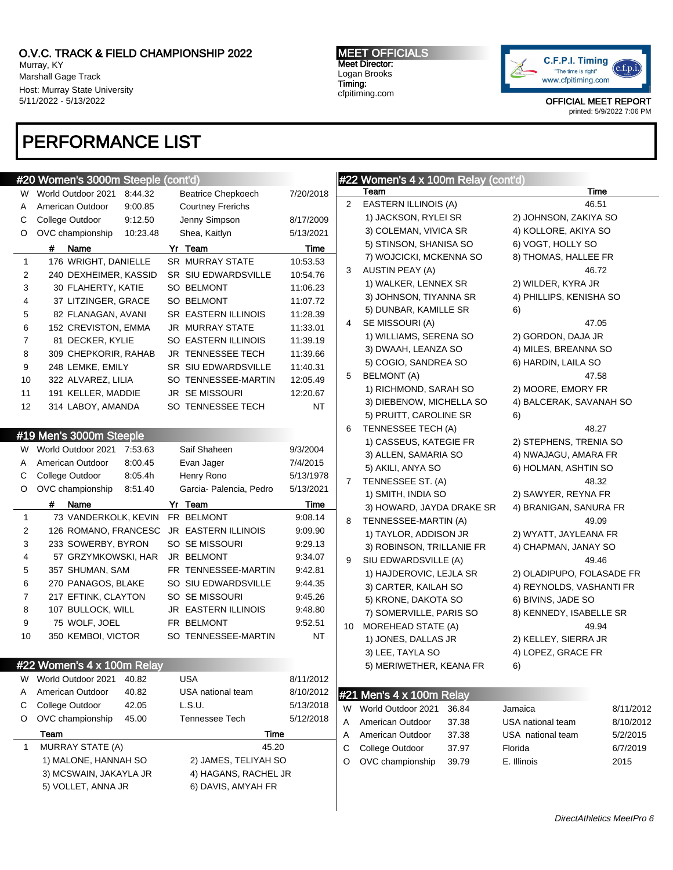Murray, KY Marshall Gage Track Host: Murray State University 5/11/2022 - 5/13/2022

# PERFORMANCE LIST

### MEET OFFICIALS Meet Director: Logan Brooks Timing: cfpitiming.com



OFFICIAL MEET REPORT printed: 5/9/2022 7:06 PM

## #20 Women's 3000m Steeple (cont'd) W World Outdoor 2021 8:44.32 Beatrice Chepkoech 7/20/2018 A American Outdoor 9:00.85 Courtney Frerichs C College Outdoor 9:12.50 Jenny Simpson 8/17/2009 O OVC championship 10:23.48 Shea, Kaitlyn 5/13/2021 Name Yr Team Time 1 176 WRIGHT, DANIELLE SR MURRAY STATE 10:53.53 2 240 DEXHEIMER, KASSID SR SIU EDWARDSVILLE 10:54.76 3 30 FLAHERTY KATIE SO BELMONT 11:06.23 4 37 LITZINGER, GRACE SO BELMONT 11:07.72 5 82 FLANAGAN, AVANI SR EASTERN ILLINOIS 11:28.39 6 152 CREVISTON, EMMA JR MURRAY STATE 11:33.01 7 81 DECKER, KYLIE SO EASTERN ILLINOIS 11:39.19 8 309 CHEPKORIR, RAHAB JR TENNESSEE TECH 11:39.66 9 248 LEMKE, EMILY SR SIU EDWARDSVILLE 11:40.31 10 322 ALVAREZ, LILIA SO TENNESSEE-MARTIN 12:05.49 11 191 KELLER, MADDIE JR SE MISSOURI 12:20.67 12 314 LABOY, AMANDA SO TENNESSEE TECH NT #19 Men's 3000m Steeple W World Outdoor 2021 7:53.63 Saif Shaheen 9/3/2004 A American Outdoor 8:00.45 Evan Jager 7/4/2015 C College Outdoor 8:05.4h Henry Rono 5/13/1978 O OVC championship 8:51.40 Garcia- Palencia, Pedro 5/13/2021 # Name Yr Team Time 1 73 VANDERKOLK, KEVIN FR BELMONT 9:08.14 2 126 ROMANO, FRANCESC JR EASTERN ILLINOIS 9:09.90 3 233 SOWERBY, BYRON SO SE MISSOURI 9:29.13 4 57 GRZYMKOWSKI, HAR JR BELMONT 9:34.07 5 357 SHUMAN, SAM FR TENNESSEE-MARTIN 9:42.81 6 270 PANAGOS, BLAKE SO SIU EDWARDSVILLE 9:44.35 7 217 EFTINK, CLAYTON SO SE MISSOURI 9:45.26 8 107 BULLOCK, WILL JR EASTERN ILLINOIS 9:48.80 9 75 WOLF, JOEL FR BELMONT 9:52.51 10 350 KEMBOI, VICTOR SO TENNESSEE-MARTIN NT #22 Women's 4 x 100m Relay W World Outdoor 2021 40.82 USA 8/11/2012 A American Outdoor 40.82 USA national team 8/10/2012 C College Outdoor 42.05 L.S.U. 5/13/2018 O OVC championship 45.00 Tennessee Tech 5/12/2018 Team Time MURRAY STATE (A) 45.20 1) MALONE, HANNAH SO 2) JAMES, TELIYAH SO 3) MCSWAIN, JAKAYLA JR 4) HAGANS, RACHEL JR 5) VOLLET, ANNA JR 6) DAVIS, AMYAH FR

## #22 Women's 4 x 100m Relay (cont'd) Team Time

| 2  | EASTERN ILLINOIS (A)                            |       | 46.51                                          |           |
|----|-------------------------------------------------|-------|------------------------------------------------|-----------|
|    | 1) JACKSON, RYLEI SR                            |       | 2) JOHNSON, ZAKIYA SO                          |           |
|    | 3) COLEMAN, VIVICA SR                           |       | 4) KOLLORE, AKIYA SO                           |           |
|    | 5) STINSON, SHANISA SO                          |       | 6) VOGT, HOLLY SO                              |           |
|    | 7) WOJCICKI, MCKENNA SO                         |       | 8) THOMAS, HALLEE FR                           |           |
| 3  | AUSTIN PEAY (A)                                 |       | 46.72                                          |           |
|    | 1) WALKER, LENNEX SR                            |       | 2) WILDER, KYRA JR                             |           |
|    | 3) JOHNSON, TIYANNA SR                          |       | 4) PHILLIPS, KENISHA SO                        |           |
|    | 5) DUNBAR, KAMILLE SR                           |       | 6)                                             |           |
| 4  | SE MISSOURI (A)                                 |       | 47.05                                          |           |
|    | 1) WILLIAMS, SERENA SO                          |       | 2) GORDON, DAJA JR                             |           |
|    | 3) DWAAH, LEANZA SO                             |       | 4) MILES, BREANNA SO                           |           |
|    | 5) COGIO, SANDREA SO                            |       | 6) HARDIN, LAILA SO                            |           |
| 5  | BELMONT (A)                                     |       | 47.58                                          |           |
|    | 1) RICHMOND, SARAH SO                           |       | 2) MOORE, EMORY FR                             |           |
|    | 3) DIEBENOW, MICHELLA SO                        |       | 4) BALCERAK, SAVANAH SO                        |           |
|    | 5) PRUITT, CAROLINE SR                          |       | 6)                                             |           |
| 6  | TENNESSEE TECH (A)                              |       | 48.27                                          |           |
|    | 1) CASSEUS, KATEGIE FR                          |       | 2) STEPHENS, TRENIA SO                         |           |
|    | 3) ALLEN, SAMARIA SO                            |       | 4) NWAJAGU, AMARA FR                           |           |
|    | 5) AKILI, ANYA SO                               |       | 6) HOLMAN, ASHTIN SO                           |           |
| 7  | TENNESSEE ST. (A)                               |       | 48.32                                          |           |
|    | 1) SMITH, INDIA SO                              |       | 2) SAWYER, REYNA FR                            |           |
|    | 3) HOWARD, JAYDA DRAKE SR                       |       | 4) BRANIGAN, SANURA FR                         |           |
| 8  | TENNESSEE-MARTIN (A)                            |       | 49.09                                          |           |
|    | 1) TAYLOR, ADDISON JR                           |       | 2) WYATT, JAYLEANA FR                          |           |
|    | 3) ROBINSON, TRILLANIE FR                       |       | 4) CHAPMAN, JANAY SO                           |           |
| 9  | SIU EDWARDSVILLE (A)                            |       | 49.46<br>2) OLADIPUPO, FOLASADE FR             |           |
|    | 1) HAJDEROVIC, LEJLA SR<br>3) CARTER, KAILAH SO |       |                                                |           |
|    | 5) KRONE, DAKOTA SO                             |       | 4) REYNOLDS, VASHANTI FR<br>6) BIVINS, JADE SO |           |
|    | 7) SOMERVILLE, PARIS SO                         |       | 8) KENNEDY, ISABELLE SR                        |           |
| 10 | MOREHEAD STATE (A)                              |       | 49.94                                          |           |
|    | 1) JONES, DALLAS JR                             |       | 2) KELLEY, SIERRA JR                           |           |
|    | 3) LEE, TAYLA SO                                |       | 4) LOPEZ, GRACE FR                             |           |
|    | 5) MERIWETHER, KEANA FR                         |       | 6)                                             |           |
|    |                                                 |       |                                                |           |
|    | $#21$ Men's $4 \times 100$ m Relay              |       |                                                |           |
| W  | World Outdoor 2021                              | 36.84 | Jamaica                                        | 8/11/2012 |
| A  | American Outdoor                                | 37.38 | USA national team                              | 8/10/2012 |
| Α  | American Outdoor                                | 37.38 | USA national team                              | 5/2/2015  |
| С  | College Outdoor                                 | 37.97 | Florida                                        | 6/7/2019  |
| O  | OVC championship                                | 39.79 | E. Illinois                                    | 2015      |
|    |                                                 |       |                                                |           |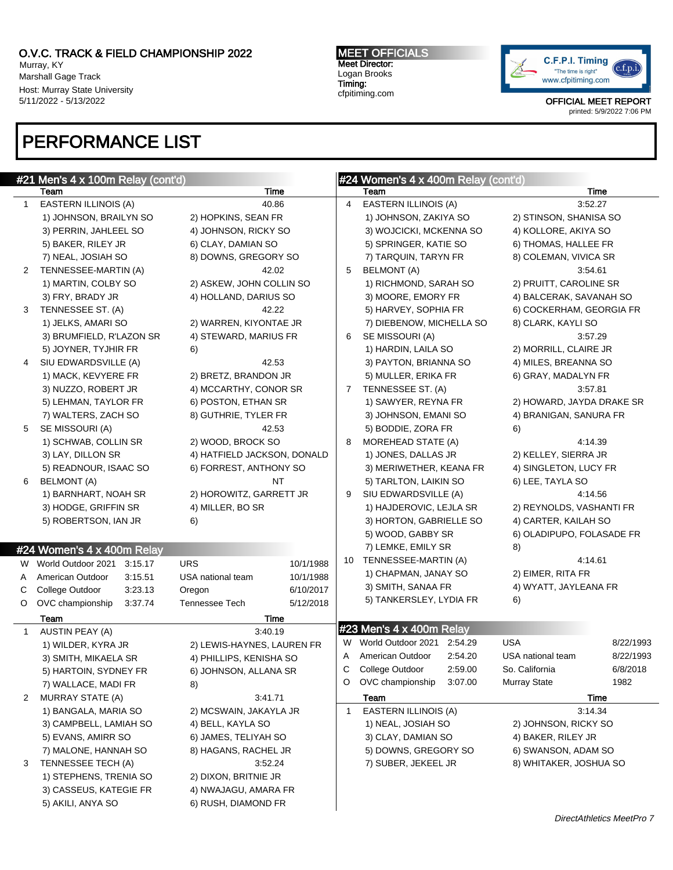### O.V.C. TRACK & FIELD CHAMPIONSHIP 2022 Murray, KY

Marshall Gage Track Host: Murray State University 5/11/2022 - 5/13/2022

# PERFORMANCE LIST

MEET OFFICIALS Meet Director: Logan Brooks Timing: cfpitiming.com



OFFICIAL MEET REPORT printed: 5/9/2022 7:06 PM

|              | $#21$ Men's 4 x 100m Relay (cont'd) |                                |    | #24 Women's 4 x 400m Relay (cont'd) |         |                           |           |
|--------------|-------------------------------------|--------------------------------|----|-------------------------------------|---------|---------------------------|-----------|
|              | Team                                | Time                           |    | Team                                |         |                           | Time      |
| 1            | EASTERN ILLINOIS (A)                | 40.86                          | 4  | EASTERN ILLINOIS (A)                |         | 3:52.27                   |           |
|              | 1) JOHNSON, BRAILYN SO              | 2) HOPKINS, SEAN FR            |    | 1) JOHNSON, ZAKIYA SO               |         | 2) STINSON, SHANISA SO    |           |
|              | 3) PERRIN, JAHLEEL SO               | 4) JOHNSON, RICKY SO           |    | 3) WOJCICKI, MCKENNA SO             |         | 4) KOLLORE, AKIYA SO      |           |
|              | 5) BAKER, RILEY JR                  | 6) CLAY, DAMIAN SO             |    | 5) SPRINGER, KATIE SO               |         | 6) THOMAS, HALLEE FR      |           |
|              | 7) NEAL, JOSIAH SO                  | 8) DOWNS, GREGORY SO           |    | 7) TARQUIN, TARYN FR                |         | 8) COLEMAN, VIVICA SR     |           |
| 2            | TENNESSEE-MARTIN (A)                | 42.02                          | 5  | <b>BELMONT (A)</b>                  |         | 3:54.61                   |           |
|              | 1) MARTIN, COLBY SO                 | 2) ASKEW, JOHN COLLIN SO       |    | 1) RICHMOND, SARAH SO               |         | 2) PRUITT, CAROLINE SR    |           |
|              | 3) FRY, BRADY JR                    | 4) HOLLAND, DARIUS SO          |    | 3) MOORE, EMORY FR                  |         | 4) BALCERAK, SAVANAH SO   |           |
| 3            | TENNESSEE ST. (A)                   | 42.22                          |    | 5) HARVEY, SOPHIA FR                |         | 6) COCKERHAM, GEORGIA FR  |           |
|              | 1) JELKS, AMARI SO                  | 2) WARREN, KIYONTAE JR         |    | 7) DIEBENOW, MICHELLA SO            |         | 8) CLARK, KAYLI SO        |           |
|              | 3) BRUMFIELD, R'LAZON SR            | 4) STEWARD, MARIUS FR          | 6  | SE MISSOURI (A)                     |         | 3:57.29                   |           |
|              | 5) JOYNER, TYJHIR FR                | 6)                             |    | 1) HARDIN, LAILA SO                 |         | 2) MORRILL, CLAIRE JR     |           |
| 4            | SIU EDWARDSVILLE (A)                | 42.53                          |    | 3) PAYTON, BRIANNA SO               |         | 4) MILES, BREANNA SO      |           |
|              | 1) MACK, KEVYERE FR                 | 2) BRETZ, BRANDON JR           |    | 5) MULLER, ERIKA FR                 |         | 6) GRAY, MADALYN FR       |           |
|              | 3) NUZZO, ROBERT JR                 | 4) MCCARTHY, CONOR SR          | 7  | TENNESSEE ST. (A)                   |         | 3:57.81                   |           |
|              | 5) LEHMAN, TAYLOR FR                | 6) POSTON, ETHAN SR            |    | 1) SAWYER, REYNA FR                 |         | 2) HOWARD, JAYDA DRAKE SR |           |
|              | 7) WALTERS, ZACH SO                 | 8) GUTHRIE, TYLER FR           |    | 3) JOHNSON, EMANI SO                |         | 4) BRANIGAN, SANURA FR    |           |
| 5            | SE MISSOURI (A)                     | 42.53                          |    | 5) BODDIE, ZORA FR                  |         | 6)                        |           |
|              | 1) SCHWAB, COLLIN SR                | 2) WOOD, BROCK SO              | 8  | MOREHEAD STATE (A)                  |         | 4:14.39                   |           |
|              | 3) LAY, DILLON SR                   | 4) HATFIELD JACKSON, DONALD    |    | 1) JONES, DALLAS JR                 |         | 2) KELLEY, SIERRA JR      |           |
|              | 5) READNOUR, ISAAC SO               | 6) FORREST, ANTHONY SO         |    | 3) MERIWETHER, KEANA FR             |         | 4) SINGLETON, LUCY FR     |           |
| 6            | <b>BELMONT (A)</b>                  | <b>NT</b>                      |    | 5) TARLTON, LAIKIN SO               |         | 6) LEE, TAYLA SO          |           |
|              | 1) BARNHART, NOAH SR                | 2) HOROWITZ, GARRETT JR        | 9  | SIU EDWARDSVILLE (A)                |         | 4:14.56                   |           |
|              | 3) HODGE, GRIFFIN SR                | 4) MILLER, BO SR               |    | 1) HAJDEROVIC, LEJLA SR             |         | 2) REYNOLDS, VASHANTI FR  |           |
|              | 5) ROBERTSON, IAN JR                | 6)                             |    | 3) HORTON, GABRIELLE SO             |         | 4) CARTER, KAILAH SO      |           |
|              |                                     |                                |    | 5) WOOD, GABBY SR                   |         | 6) OLADIPUPO, FOLASADE FR |           |
|              | #24 Women's 4 x 400m Relay          |                                |    | 7) LEMKE, EMILY SR                  |         | 8)                        |           |
|              | W World Outdoor 2021<br>3:15.17     | <b>URS</b><br>10/1/1988        | 10 | TENNESSEE-MARTIN (A)                |         | 4:14.61                   |           |
| A            | American Outdoor<br>3:15.51         | USA national team<br>10/1/1988 |    | 1) CHAPMAN, JANAY SO                |         | 2) EIMER, RITA FR         |           |
| C            | College Outdoor<br>3:23.13          | 6/10/2017<br>Oregon            |    | 3) SMITH, SANAA FR                  |         | 4) WYATT, JAYLEANA FR     |           |
| O            | OVC championship<br>3:37.74         | Tennessee Tech<br>5/12/2018    |    | 5) TANKERSLEY, LYDIA FR             |         | 6)                        |           |
|              | Team                                | Time                           |    |                                     |         |                           |           |
| $\mathbf{1}$ | AUSTIN PEAY (A)                     | 3:40.19                        |    | #23 Men's 4 x 400m Relay            |         |                           |           |
|              | 1) WILDER, KYRA JR                  | 2) LEWIS-HAYNES, LAUREN FR     |    | W World Outdoor 2021 2:54.29        |         | <b>USA</b>                | 8/22/1993 |
|              | 3) SMITH, MIKAELA SR                | 4) PHILLIPS, KENISHA SO        | A  | American Outdoor                    | 2:54.20 | USA national team         | 8/22/1993 |
|              | 5) HARTOIN, SYDNEY FR               | 6) JOHNSON, ALLANA SR          | С  | College Outdoor                     | 2:59.00 | So. California            | 6/8/2018  |
|              | 7) WALLACE, MADI FR                 | 8)                             | O  | OVC championship                    | 3:07.00 | Murray State              | 1982      |
| 2            | <b>MURRAY STATE (A)</b>             | 3:41.71                        |    | Team                                |         |                           | Time      |
|              | 1) BANGALA, MARIA SO                | 2) MCSWAIN, JAKAYLA JR         | 1  | EASTERN ILLINOIS (A)                |         | 3:14.34                   |           |
|              | 3) CAMPBELL, LAMIAH SO              | 4) BELL, KAYLA SO              |    | 1) NEAL, JOSIAH SO                  |         | 2) JOHNSON, RICKY SO      |           |
|              | 5) EVANS, AMIRR SO                  | 6) JAMES, TELIYAH SO           |    | 3) CLAY, DAMIAN SO                  |         | 4) BAKER, RILEY JR        |           |
|              | 7) MALONE, HANNAH SO                | 8) HAGANS, RACHEL JR           |    | 5) DOWNS, GREGORY SO                |         | 6) SWANSON, ADAM SO       |           |
| 3            | TENNESSEE TECH (A)                  | 3:52.24                        |    | 7) SUBER, JEKEEL JR                 |         | 8) WHITAKER, JOSHUA SO    |           |
|              | 1) STEPHENS, TRENIA SO              | 2) DIXON, BRITNIE JR           |    |                                     |         |                           |           |
|              | 3) CASSEUS, KATEGIE FR              | 4) NWAJAGU, AMARA FR           |    |                                     |         |                           |           |
|              | 5) AKILI, ANYA SO                   | 6) RUSH, DIAMOND FR            |    |                                     |         |                           |           |
|              |                                     |                                |    |                                     |         |                           |           |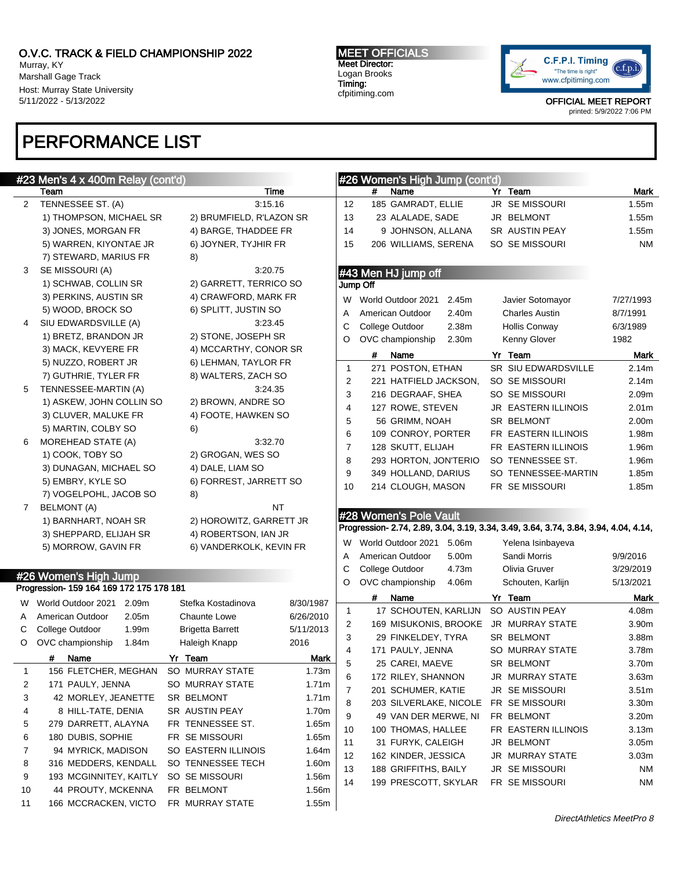Team Time 2 TENNESSEE ST. (A) 3:15.16

3 SE MISSOURI (A) 3:20.75

6 MOREHEAD STATE (A) 3:32.70 1) COOK, TOBY SO 2) GROGAN, WES SO 3) DUNAGAN, MICHAEL SO 4) DALE, LIAM SO

7 BELMONT (A) NT

5) EMBRY, KYLE SO 6) FORREST, JARRETT SO

1) BARNHART, NOAH SR 2) HOROWITZ, GARRETT JR 3) SHEPPARD, ELIJAH SR 4) ROBERTSON, IAN JR 5) MORROW, GAVIN FR 6) VANDERKOLK, KEVIN FR

1) THOMPSON, MICHAEL SR 2) BRUMFIELD, R'LAZON SR 3) JONES, MORGAN FR 4) BARGE, THADDEE FR 5) WARREN, KIYONTAE JR 6) JOYNER, TYJHIR FR

1) SCHWAB, COLLIN SR 2) GARRETT, TERRICO SO 3) PERKINS, AUSTIN SR 4) CRAWFORD, MARK FR 5) WOOD, BROCK SO 6) SPLITT, JUSTIN SO 4 SIU EDWARDSVILLE (A) 3:23.45 1) BRETZ, BRANDON JR 2) STONE, JOSEPH SR 3) MACK, KEVYERE FR 4) MCCARTHY, CONOR SR 5) NUZZO, ROBERT JR 6) LEHMAN, TAYLOR FR 7) GUTHRIE, TYLER FR 8) WALTERS, ZACH SO 5 TENNESSEE-MARTIN (A) 3:24.35 1) ASKEW, JOHN COLLIN SO 2) BROWN, ANDRE SO 3) CLUVER, MALUKE FR 4) FOOTE, HAWKEN SO

Murray, KY Marshall Gage Track Host: Murray State University 5/11/2022 - 5/13/2022

# PERFORMANCE LIST

7) STEWARD, MARIUS FR 8)

5) MARTIN, COLBY SO 6)

7) VOGELPOHL, JACOB SO 8)

#23 Men's 4 x 400m Relay (cont'd)

MEET OFFICIALS Meet Director: Logan Brooks Timing: cfpitiming.com

#26 Women's High Jump (cont'd)



OFFICIAL MEET REPORT printed: 5/9/2022 7:06 PM

|   | 15             | 206 WILLIAMS, SERENA                                                                 |       | SO SE MISSOURI             | <b>NM</b>         |  |
|---|----------------|--------------------------------------------------------------------------------------|-------|----------------------------|-------------------|--|
|   |                | #43 Men HJ jump off                                                                  |       |                            |                   |  |
|   |                | Jump Off                                                                             |       |                            |                   |  |
|   |                | W World Outdoor 2021                                                                 | 2.45m | Javier Sotomayor           | 7/27/1993         |  |
|   | A              | American Outdoor                                                                     | 2.40m | <b>Charles Austin</b>      | 8/7/1991          |  |
|   | C              | College Outdoor 2.38m                                                                |       | Hollis Conway              | 6/3/1989          |  |
|   | O              | OVC championship 2.30m                                                               |       | Kenny Glover               | 1982              |  |
|   |                | Name<br>#                                                                            |       | Yr Team                    | <b>Mark</b>       |  |
|   | $\mathbf{1}$   | 271 POSTON, ETHAN                                                                    |       | <b>SR SIU EDWARDSVILLE</b> | 2.14m             |  |
|   | 2              | 221 HATFIELD JACKSON,                                                                |       | SO SE MISSOURI             | 2.14m             |  |
|   | 3              | 216 DEGRAAF, SHEA                                                                    |       | SO SE MISSOURI             | 2.09m             |  |
|   | $\overline{4}$ | 127 ROWE, STEVEN                                                                     |       | JR EASTERN ILLINOIS        | 2.01 <sub>m</sub> |  |
|   | 5              | 56 GRIMM, NOAH                                                                       |       | SR BELMONT                 | 2.00m             |  |
|   | 6              | 109 CONROY, PORTER                                                                   |       | FR EASTERN ILLINOIS        | 1.98m             |  |
|   | $\overline{7}$ | 128 SKUTT, ELIJAH                                                                    |       | FR EASTERN ILLINOIS        | 1.96m             |  |
|   | 8              | 293 HORTON, JON'TERIO                                                                |       | SO TENNESSEE ST.           | 1.96m             |  |
|   | 9              | 349 HOLLAND, DARIUS                                                                  |       | SO TENNESSEE-MARTIN        | 1.85m             |  |
|   | 10             | 214 CLOUGH, MASON                                                                    |       | FR SE MISSOURI             | 1.85m             |  |
|   |                |                                                                                      |       |                            |                   |  |
|   |                | #28 Women's Pole Vault                                                               |       |                            |                   |  |
|   |                | Progression- 2.74, 2.89, 3.04, 3.19, 3.34, 3.49, 3.64, 3.74, 3.84, 3.94, 4.04, 4.14, |       |                            |                   |  |
|   |                | W World Outdoor 2021                                                                 | 5.06m | Yelena Isinbayeva          |                   |  |
|   | A              | American Outdoor                                                                     | 5.00m | Sandi Morris               | 9/9/2016          |  |
|   | C              | College Outdoor 4.73m                                                                |       | Olivia Gruver              | 3/29/2019         |  |
|   | O              | OVC championship 4.06m                                                               |       | Schouten, Karlijn          | 5/13/2021         |  |
| 7 |                | Name<br>#                                                                            |       | Yr Team                    | <b>Mark</b>       |  |
|   | 1              | 17 SCHOUTEN, KARLIJN                                                                 |       | SO AUSTIN PEAY             | 4.08m             |  |
| š | 2              | 169 MISUKONIS, BROOKE                                                                |       | <b>JR MURRAY STATE</b>     | 3.90m             |  |
|   | 3              | 29 FINKELDEY, TYRA                                                                   |       | <b>SR BELMONT</b>          | 3.88m             |  |

4 171 PAULY, JENNA SO MURRAY STATE 3.78m 5 25 CAREI, MAEVE SR BELMONT 3.70m 6 172 RILEY, SHANNON JR MURRAY STATE 3.63m 7 201 SCHUMER, KATIE JR SE MISSOURI 3.51m 8 203 SILVERLAKE, NICOLE FR SE MISSOURI 3.30m 9 49 VAN DER MERWE, NI FR BELMONT 3.20m 10 100 THOMAS, HALLEE FR EASTERN ILLINOIS 3.13m 11 31 FURYK, CALEIGH JR BELMONT 3.05m 12 162 KINDER, JESSICA JR MURRAY STATE 3.03m 13 188 GRIFFITHS, BAILY JR SE MISSOURI NM 14 199 PRESCOTT, SKYLAR FR SE MISSOURI NM

# Name Yr Team Mark 12 185 GAMRADT, ELLIE JR SE MISSOURI 1.55m 13 23 ALALADE, SADE JR BELMONT 1.55m 14 9 JOHNSON, ALLANA SR AUSTIN PEAY 1.55m

### #26 Women's High Jump Progression- 159 164 169 172 175 178 181

|    | 1.091000001110010010011211011010101 |                   |                            |             |  |
|----|-------------------------------------|-------------------|----------------------------|-------------|--|
| W  | World Outdoor 2021                  | 2.09m             | Stefka Kostadinova         | 8/30/1987   |  |
| A  | American Outdoor                    | 2.05 <sub>m</sub> | <b>Chaunte Lowe</b>        | 6/26/2010   |  |
| С  | College Outdoor                     | 1.99m             | Brigetta Barrett           | 5/11/2013   |  |
| O  | OVC championship                    | 1.84m             | Haleigh Knapp              | 2016        |  |
|    | #<br>Name                           |                   | Yr Team                    | <b>Mark</b> |  |
| 1  | 156 FLETCHER, MEGHAN                |                   | SO MURRAY STATE            | 1.73m       |  |
| 2  | 171 PAULY, JENNA                    |                   | SO MURRAY STATE            | 1.71m       |  |
| 3  | 42 MORLEY, JEANETTE                 |                   | <b>SR BELMONT</b>          | 1.71m       |  |
| 4  | 8 HILL-TATE, DENIA                  |                   | <b>SR AUSTIN PEAY</b>      | 1.70m       |  |
| 5  | 279 DARRETT, ALAYNA                 |                   | FR TENNESSEE ST.           | 1.65m       |  |
| 6  | 180 DUBIS, SOPHIE                   |                   | FR SE MISSOURI             | 1.65m       |  |
| 7  | 94 MYRICK, MADISON                  |                   | <b>SO EASTERN ILLINOIS</b> | 1.64m       |  |
| 8  | 316 MEDDERS, KENDALL                |                   | SO TENNESSEE TECH          | 1.60m       |  |
| 9  | 193 MCGINNITEY, KAITLY              |                   | SO SE MISSOURI             | 1.56m       |  |
| 10 | 44 PROUTY, MCKENNA                  |                   | FR BELMONT                 | 1.56m       |  |
| 11 | 166 MCCRACKEN, VICTO                |                   | FR MURRAY STATE            | 1.55m       |  |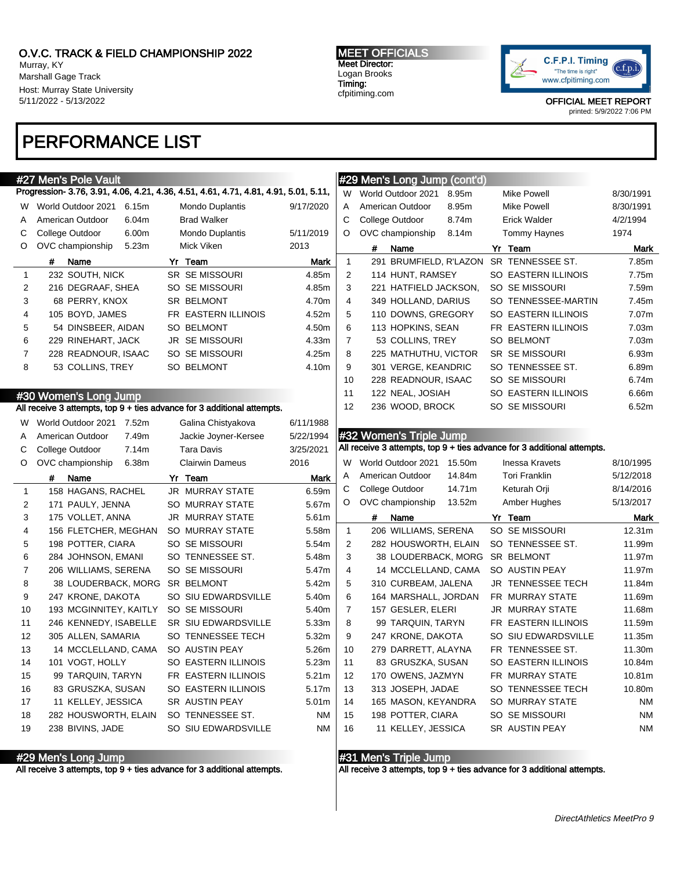Murray, KY Marshall Gage Track Host: Murray State University 5/11/2022 - 5/13/2022

### MEET OFFICIALS Meet Director: Logan Brooks Timing:

cfpitiming.com



OFFICIAL MEET REPORT

printed: 5/9/2022 7:06 PM

# PERFORMANCE LIST

| #27 Men's Pole Vault                                                                 |                        | #29 Men's Long Jump (cont'd) |                                                                         |                                         |        |                                                                                                                                                                                                                                                                                                             |                                                                                             |
|--------------------------------------------------------------------------------------|------------------------|------------------------------|-------------------------------------------------------------------------|-----------------------------------------|--------|-------------------------------------------------------------------------------------------------------------------------------------------------------------------------------------------------------------------------------------------------------------------------------------------------------------|---------------------------------------------------------------------------------------------|
| Progression- 3.76, 3.91, 4.06, 4.21, 4.36, 4.51, 4.61, 4.71, 4.81, 4.91, 5.01, 5.11, |                        |                              | W                                                                       | World Outdoor 2021                      | 8.95m  | <b>Mike Powell</b>                                                                                                                                                                                                                                                                                          | 8/30/1991                                                                                   |
| World Outdoor 2021<br>6.15m                                                          | <b>Mondo Duplantis</b> | 9/17/2020                    | Α                                                                       | American Outdoor                        | 8.95m  | Mike Powell                                                                                                                                                                                                                                                                                                 | 8/30/1991                                                                                   |
| American Outdoor<br>6.04m                                                            | <b>Brad Walker</b>     |                              | $\mathsf C$                                                             | College Outdoor                         | 8.74m  | <b>Erick Walder</b>                                                                                                                                                                                                                                                                                         | 4/2/1994                                                                                    |
| College Outdoor<br>6.00m                                                             | <b>Mondo Duplantis</b> | 5/11/2019                    | O                                                                       | OVC championship                        | 8.14m  | <b>Tommy Haynes</b>                                                                                                                                                                                                                                                                                         | 1974                                                                                        |
| OVC championship<br>5.23m                                                            | Mick Viken             | 2013                         |                                                                         | #<br>Name                               |        | Yr Team                                                                                                                                                                                                                                                                                                     | <b>Mark</b>                                                                                 |
| Name<br>#                                                                            | Yr Team                | <b>Mark</b>                  | $\mathbf{1}$                                                            |                                         |        |                                                                                                                                                                                                                                                                                                             | 7.85m                                                                                       |
| 232 SOUTH, NICK                                                                      | SR SE MISSOURI         | 4.85m                        | 2                                                                       |                                         |        | SO EASTERN ILLINOIS                                                                                                                                                                                                                                                                                         | 7.75m                                                                                       |
| 216 DEGRAAF, SHEA                                                                    | SO SE MISSOURI         | 4.85m                        | 3                                                                       |                                         |        | SO SE MISSOURI                                                                                                                                                                                                                                                                                              | 7.59m                                                                                       |
| 68 PERRY, KNOX                                                                       | SR BELMONT             | 4.70m                        | 4                                                                       |                                         |        | SO TENNESSEE-MARTIN                                                                                                                                                                                                                                                                                         | 7.45m                                                                                       |
| 105 BOYD, JAMES                                                                      | FR EASTERN ILLINOIS    | 4.52m                        | 5                                                                       |                                         |        | SO EASTERN ILLINOIS                                                                                                                                                                                                                                                                                         | 7.07m                                                                                       |
| 54 DINSBEER, AIDAN                                                                   | <b>SO BELMONT</b>      | 4.50m                        | 6                                                                       |                                         |        | FR EASTERN ILLINOIS                                                                                                                                                                                                                                                                                         | 7.03m                                                                                       |
| 229 RINEHART, JACK                                                                   | JR SE MISSOURI         | 4.33m                        | $\overline{7}$                                                          |                                         |        | SO BELMONT                                                                                                                                                                                                                                                                                                  | 7.03m                                                                                       |
| 228 READNOUR, ISAAC                                                                  | SO SE MISSOURI         | 4.25m                        | 8                                                                       |                                         |        | <b>SR SE MISSOURI</b>                                                                                                                                                                                                                                                                                       | 6.93m                                                                                       |
| 53 COLLINS, TREY                                                                     | SO BELMONT             | 4.10m                        | 9                                                                       |                                         |        | SO TENNESSEE ST.                                                                                                                                                                                                                                                                                            | 6.89m                                                                                       |
|                                                                                      |                        |                              | 10                                                                      |                                         |        | SO SE MISSOURI                                                                                                                                                                                                                                                                                              | 6.74m                                                                                       |
|                                                                                      |                        |                              | 11                                                                      |                                         |        | SO EASTERN ILLINOIS                                                                                                                                                                                                                                                                                         | 6.66m                                                                                       |
|                                                                                      |                        |                              | 12                                                                      |                                         |        | SO SE MISSOURI                                                                                                                                                                                                                                                                                              | 6.52m                                                                                       |
| World Outdoor 2021 7.52m                                                             | Galina Chistyakova     | 6/11/1988                    |                                                                         |                                         |        |                                                                                                                                                                                                                                                                                                             |                                                                                             |
| 7.49m<br>American Outdoor                                                            | Jackie Joyner-Kersee   | 5/22/1994                    |                                                                         |                                         |        |                                                                                                                                                                                                                                                                                                             |                                                                                             |
| College Outdoor<br>7.14m                                                             | <b>Tara Davis</b>      | 3/25/2021                    |                                                                         |                                         |        |                                                                                                                                                                                                                                                                                                             |                                                                                             |
| OVC championship<br>6.38m                                                            | <b>Clairwin Dameus</b> | 2016                         | W                                                                       | World Outdoor 2021                      |        | <b>Inessa Kravets</b>                                                                                                                                                                                                                                                                                       | 8/10/1995                                                                                   |
|                                                                                      |                        |                              |                                                                         |                                         |        |                                                                                                                                                                                                                                                                                                             |                                                                                             |
| #<br>Name                                                                            | Yr Team                | <b>Mark</b>                  | Α                                                                       | American Outdoor                        | 14.84m | <b>Tori Franklin</b>                                                                                                                                                                                                                                                                                        | 5/12/2018                                                                                   |
| 158 HAGANS, RACHEL                                                                   | JR MURRAY STATE        | 6.59m                        | C                                                                       | College Outdoor                         | 14.71m | Keturah Orji                                                                                                                                                                                                                                                                                                | 8/14/2016                                                                                   |
| 171 PAULY, JENNA                                                                     | SO MURRAY STATE        | 5.67m                        | O                                                                       | OVC championship                        | 13.52m | Amber Hughes                                                                                                                                                                                                                                                                                                | 5/13/2017                                                                                   |
| 175 VOLLET, ANNA                                                                     | JR MURRAY STATE        | 5.61m                        |                                                                         | #<br>Name                               |        | Yr Team                                                                                                                                                                                                                                                                                                     | Mark                                                                                        |
| 156 FLETCHER, MEGHAN                                                                 | <b>SO MURRAY STATE</b> | 5.58m                        | $\mathbf{1}$                                                            | 206 WILLIAMS, SERENA                    |        | SO SE MISSOURI                                                                                                                                                                                                                                                                                              | 12.31m                                                                                      |
| 198 POTTER, CIARA                                                                    | SO SE MISSOURI         | 5.54m                        | $\overline{2}$                                                          | 282 HOUSWORTH, ELAIN                    |        | SO TENNESSEE ST.                                                                                                                                                                                                                                                                                            | 11.99m                                                                                      |
| 284 JOHNSON, EMANI                                                                   | SO TENNESSEE ST.       | 5.48m                        | 3                                                                       | 38 LOUDERBACK, MORG                     |        | <b>SR BELMONT</b>                                                                                                                                                                                                                                                                                           | 11.97m                                                                                      |
| 206 WILLIAMS, SERENA                                                                 | SO SE MISSOURI         | 5.47m                        | 4                                                                       | 14 MCCLELLAND, CAMA                     |        | SO AUSTIN PEAY                                                                                                                                                                                                                                                                                              | 11.97m                                                                                      |
| 38 LOUDERBACK, MORG                                                                  | SR BELMONT             | 5.42m                        | 5                                                                       | 310 CURBEAM, JALENA                     |        | JR TENNESSEE TECH                                                                                                                                                                                                                                                                                           | 11.84m                                                                                      |
| 247 KRONE, DAKOTA                                                                    | SO SIU EDWARDSVILLE    | 5.40m                        | 6                                                                       | 164 MARSHALL, JORDAN                    |        | FR MURRAY STATE                                                                                                                                                                                                                                                                                             | 11.69m                                                                                      |
| 193 MCGINNITEY, KAITLY                                                               | SO SE MISSOURI         | 5.40m                        | $\overline{7}$                                                          | 157 GESLER, ELERI                       |        | JR MURRAY STATE                                                                                                                                                                                                                                                                                             | 11.68m                                                                                      |
| 246 KENNEDY, ISABELLE                                                                | SR SIU EDWARDSVILLE    | 5.33m                        | 8                                                                       | 99 TARQUIN, TARYN                       |        | FR EASTERN ILLINOIS                                                                                                                                                                                                                                                                                         | 11.59m                                                                                      |
| 305 ALLEN, SAMARIA                                                                   | SO TENNESSEE TECH      | 5.32m                        | 9                                                                       | 247 KRONE, DAKOTA                       |        | SO SIU EDWARDSVILLE                                                                                                                                                                                                                                                                                         | 11.35m                                                                                      |
| 14 MCCLELLAND, CAMA                                                                  | SO AUSTIN PEAY         | 5.26m                        | 10                                                                      | 279 DARRETT, ALAYNA                     |        | FR TENNESSEE ST.                                                                                                                                                                                                                                                                                            | 11.30m                                                                                      |
| 101 VOGT, HOLLY                                                                      | SO EASTERN ILLINOIS    | 5.23m                        | 11                                                                      | 83 GRUSZKA, SUSAN                       |        | SO EASTERN ILLINOIS                                                                                                                                                                                                                                                                                         | 10.84m                                                                                      |
| 99 TARQUIN, TARYN                                                                    | FR EASTERN ILLINOIS    | 5.21m                        | 12                                                                      | 170 OWENS, JAZMYN                       |        | FR MURRAY STATE                                                                                                                                                                                                                                                                                             | 10.81m                                                                                      |
| 83 GRUSZKA, SUSAN                                                                    | SO EASTERN ILLINOIS    | 5.17m                        | 13                                                                      | 313 JOSEPH, JADAE                       |        | SO TENNESSEE TECH                                                                                                                                                                                                                                                                                           | 10.80m                                                                                      |
| 11 KELLEY, JESSICA                                                                   | SR AUSTIN PEAY         | 5.01m                        | 14                                                                      | 165 MASON, KEYANDRA                     |        | <b>SO MURRAY STATE</b>                                                                                                                                                                                                                                                                                      | NM                                                                                          |
| 282 HOUSWORTH, ELAIN                                                                 | SO TENNESSEE ST.       | <b>NM</b><br><b>NM</b>       | 15<br>16                                                                | 198 POTTER, CIARA<br>11 KELLEY, JESSICA |        | SO SE MISSOURI                                                                                                                                                                                                                                                                                              | <b>NM</b>                                                                                   |
| W.                                                                                   | #30 Women's Long Jump  |                              | All receive 3 attempts, top 9 + ties advance for 3 additional attempts. |                                         |        | 291 BRUMFIELD, R'LAZON<br>114 HUNT, RAMSEY<br>221 HATFIELD JACKSON,<br>349 HOLLAND, DARIUS<br>110 DOWNS, GREGORY<br>113 HOPKINS, SEAN<br>53 COLLINS, TREY<br>225 MATHUTHU, VICTOR<br>301 VERGE, KEANDRIC<br>228 READNOUR, ISAAC<br>122 NEAL, JOSIAH<br>236 WOOD, BROCK<br>#32 Women's Triple Jump<br>15.50m | SR TENNESSEE ST.<br>All receive 3 attempts, top 9 + ties advance for 3 additional attempts. |

#31 Men's Triple Jump

All receive 3 attempts, top 9 + ties advance for 3 additional attempts.

#29 Men's Long Jump

All receive 3 attempts, top 9 + ties advance for 3 additional attempts.

DirectAthletics MeetPro 9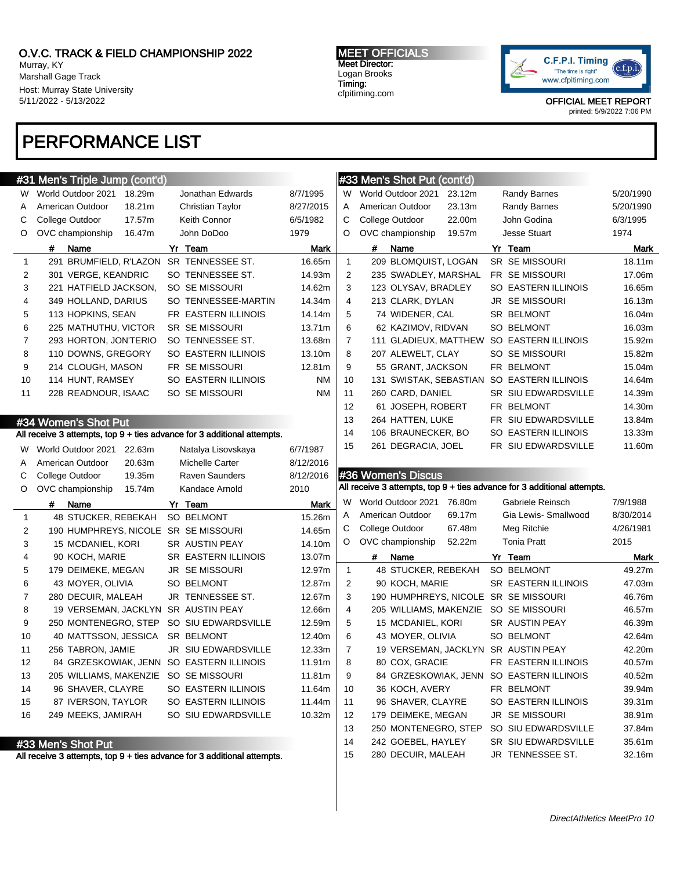Murray, KY Marshall Gage Track Host: Murray State University 5/11/2022 - 5/13/2022

# PERFORMANCE LIST

MEET OFFICIALS Meet Director: Logan Brooks Timing:

cfpitiming.com



OFFICIAL MEET REPORT

printed: 5/9/2022 7:06 PM

|                | #31 Men's Triple Jump (cont'd)                                                                |                            |             |                | #33 Men's Shot Put (cont'd)                                             |                                          |             |
|----------------|-----------------------------------------------------------------------------------------------|----------------------------|-------------|----------------|-------------------------------------------------------------------------|------------------------------------------|-------------|
| W              | World Outdoor 2021<br>18.29m                                                                  | Jonathan Edwards           | 8/7/1995    | W              | World Outdoor 2021<br>23.12m                                            | <b>Randy Barnes</b>                      | 5/20/1990   |
| A              | American Outdoor<br>18.21m                                                                    | <b>Christian Taylor</b>    | 8/27/2015   | Α              | American Outdoor<br>23.13m                                              | <b>Randy Barnes</b>                      | 5/20/1990   |
| С              | College Outdoor<br>17.57m                                                                     | Keith Connor               | 6/5/1982    | С              | College Outdoor<br>22.00m                                               | John Godina                              | 6/3/1995    |
| O              | OVC championship<br>16.47m                                                                    | John DoDoo                 | 1979        | O              | OVC championship<br>19.57m                                              | <b>Jesse Stuart</b>                      | 1974        |
|                | #<br>Name                                                                                     | Yr Team                    | <b>Mark</b> |                | Name<br>#                                                               | Yr Team                                  | <b>Mark</b> |
| $\mathbf{1}$   | 291 BRUMFIELD, R'LAZON                                                                        | SR TENNESSEE ST.           | 16.65m      | $\mathbf{1}$   | 209 BLOMQUIST, LOGAN                                                    | <b>SR SE MISSOURI</b>                    | 18.11m      |
| 2              | 301 VERGE, KEANDRIC                                                                           | SO TENNESSEE ST.           | 14.93m      | 2              | 235 SWADLEY, MARSHAL                                                    | FR SE MISSOURI                           | 17.06m      |
| 3              | 221 HATFIELD JACKSON,                                                                         | SO SE MISSOURI             | 14.62m      | 3              | 123 OLYSAV, BRADLEY                                                     | SO EASTERN ILLINOIS                      | 16.65m      |
| 4              | 349 HOLLAND, DARIUS                                                                           | SO TENNESSEE-MARTIN        | 14.34m      | 4              | 213 CLARK, DYLAN                                                        | JR SE MISSOURI                           | 16.13m      |
| 5              | 113 HOPKINS, SEAN                                                                             | FR EASTERN ILLINOIS        | 14.14m      | 5              | 74 WIDENER, CAL                                                         | SR BELMONT                               | 16.04m      |
| 6              | 225 MATHUTHU, VICTOR                                                                          | SR SE MISSOURI             | 13.71m      | 6              | 62 KAZIMOV, RIDVAN                                                      | SO BELMONT                               | 16.03m      |
| 7              | 293 HORTON, JON'TERIO                                                                         | SO TENNESSEE ST.           | 13.68m      | $\overline{7}$ | 111 GLADIEUX, MATTHEW SO EASTERN ILLINOIS                               |                                          | 15.92m      |
| 8              | 110 DOWNS, GREGORY                                                                            | SO EASTERN ILLINOIS        | 13.10m      | 8              | 207 ALEWELT, CLAY                                                       | SO SE MISSOURI                           | 15.82m      |
| 9              | 214 CLOUGH, MASON                                                                             | FR SE MISSOURI             | 12.81m      | 9              | 55 GRANT, JACKSON                                                       | FR BELMONT                               | 15.04m      |
| 10             | 114 HUNT, RAMSEY                                                                              | SO EASTERN ILLINOIS        | <b>NM</b>   | 10             | 131 SWISTAK, SEBASTIAN SO EASTERN ILLINOIS                              |                                          | 14.64m      |
| 11             | 228 READNOUR, ISAAC                                                                           | SO SE MISSOURI             | <b>NM</b>   | 11             | 260 CARD, DANIEL                                                        | SR SIU EDWARDSVILLE                      | 14.39m      |
|                |                                                                                               |                            |             | 12             | 61 JOSEPH, ROBERT                                                       | FR BELMONT                               | 14.30m      |
|                | #34 Women's Shot Put                                                                          |                            |             | 13             | 264 HATTEN, LUKE                                                        | FR SIU EDWARDSVILLE                      | 13.84m      |
|                | All receive 3 attempts, top 9 + ties advance for 3 additional attempts.                       |                            |             | 14             | 106 BRAUNECKER, BO                                                      | SO EASTERN ILLINOIS                      | 13.33m      |
| W.             | World Outdoor 2021<br>22.63m                                                                  | Natalya Lisovskaya         | 6/7/1987    | 15             | 261 DEGRACIA, JOEL                                                      | FR SIU EDWARDSVILLE                      | 11.60m      |
| A              | American Outdoor<br>20.63m                                                                    | <b>Michelle Carter</b>     | 8/12/2016   |                |                                                                         |                                          |             |
|                |                                                                                               |                            |             |                |                                                                         |                                          |             |
| С              | College Outdoor<br>19.35m                                                                     | <b>Raven Saunders</b>      | 8/12/2016   |                | #36 Women's Discus                                                      |                                          |             |
| O              | OVC championship<br>15.74m                                                                    | Kandace Arnold             | 2010        |                | All receive 3 attempts, top 9 + ties advance for 3 additional attempts. |                                          |             |
|                | #<br>Name                                                                                     | Yr Team                    | Mark        | W              | World Outdoor 2021<br>76.80m                                            | Gabriele Reinsch                         | 7/9/1988    |
| $\mathbf{1}$   | 48 STUCKER, REBEKAH                                                                           | SO BELMONT                 | 15.26m      | Α              | American Outdoor<br>69.17m                                              | Gia Lewis- Smallwood                     | 8/30/2014   |
| $\overline{c}$ | 190 HUMPHREYS, NICOLE SR SE MISSOURI                                                          |                            | 14.65m      | С              | College Outdoor<br>67.48m                                               | Meg Ritchie                              | 4/26/1981   |
| 3              | 15 MCDANIEL, KORI                                                                             | SR AUSTIN PEAY             | 14.10m      | O              | OVC championship<br>52.22m                                              | <b>Tonia Pratt</b>                       | 2015        |
| 4              | 90 KOCH, MARIE                                                                                | <b>SR EASTERN ILLINOIS</b> | 13.07m      |                | #<br>Name                                                               | Yr Team                                  | Mark        |
| 5              | 179 DEIMEKE, MEGAN                                                                            | <b>JR SE MISSOURI</b>      | 12.97m      | $\mathbf{1}$   | 48 STUCKER, REBEKAH                                                     | SO BELMONT                               | 49.27m      |
| 6              | 43 MOYER, OLIVIA                                                                              | <b>SO BELMONT</b>          | 12.87m      | 2              | 90 KOCH, MARIE                                                          | <b>SR EASTERN ILLINOIS</b>               | 47.03m      |
| $\overline{7}$ | 280 DECUIR, MALEAH                                                                            | JR TENNESSEE ST.           | 12.67m      | 3              | 190 HUMPHREYS, NICOLE SR SE MISSOURI                                    |                                          | 46.76m      |
| 8              | 19 VERSEMAN, JACKLYN                                                                          | SR AUSTIN PEAY             | 12.66m      | 4              | 205 WILLIAMS, MAKENZIE SO SE MISSOURI                                   |                                          | 46.57m      |
| 9              | 250 MONTENEGRO, STEP                                                                          | SO SIU EDWARDSVILLE        | 12.59m      | 5              | 15 MCDANIEL, KORI                                                       | SR AUSTIN PEAY                           | 46.39m      |
| 10             | 40 MATTSSON, JESSICA                                                                          | SR BELMONT                 | 12.40m      | 6              | 43 MOYER, OLIVIA                                                        | SO BELMONT                               | 42.64m      |
| 11             | 256 TABRON, JAMIE                                                                             | JR SIU EDWARDSVILLE        | 12.33m      | 7              | 19 VERSEMAN, JACKLYN SR AUSTIN PEAY                                     |                                          | 42.20m      |
| 12             | 84 GRZESKOWIAK, JENN SO EASTERN ILLINOIS                                                      |                            | 11.91m      | 8              | 80 COX, GRACIE                                                          | FR EASTERN ILLINOIS                      | 40.57m      |
| 13             | 205 WILLIAMS, MAKENZIE SO SE MISSOURI                                                         |                            | 11.81m      | 9              |                                                                         | 84 GRZESKOWIAK, JENN SO EASTERN ILLINOIS | 40.52m      |
| 14             | 96 SHAVER, CLAYRE                                                                             | SO EASTERN ILLINOIS        | 11.64m      | 10             | 36 KOCH, AVERY                                                          | FR BELMONT                               | 39.94m      |
| 15             | 87 IVERSON, TAYLOR                                                                            | SO EASTERN ILLINOIS        | 11.44m      | 11             | 96 SHAVER, CLAYRE                                                       | SO EASTERN ILLINOIS                      | 39.31m      |
| 16             | 249 MEEKS, JAMIRAH                                                                            | SO SIU EDWARDSVILLE        | 10.32m      | 12             | 179 DEIMEKE, MEGAN                                                      | JR SE MISSOURI                           | 38.91m      |
|                |                                                                                               |                            |             | 13             | 250 MONTENEGRO, STEP                                                    | SO SIU EDWARDSVILLE                      | 37.84m      |
|                | #33 Men's Shot Put<br>All receive 3 attempts, top 9 + ties advance for 3 additional attempts. |                            |             | 14             | 242 GOEBEL, HAYLEY                                                      | SR SIU EDWARDSVILLE                      | 35.61m      |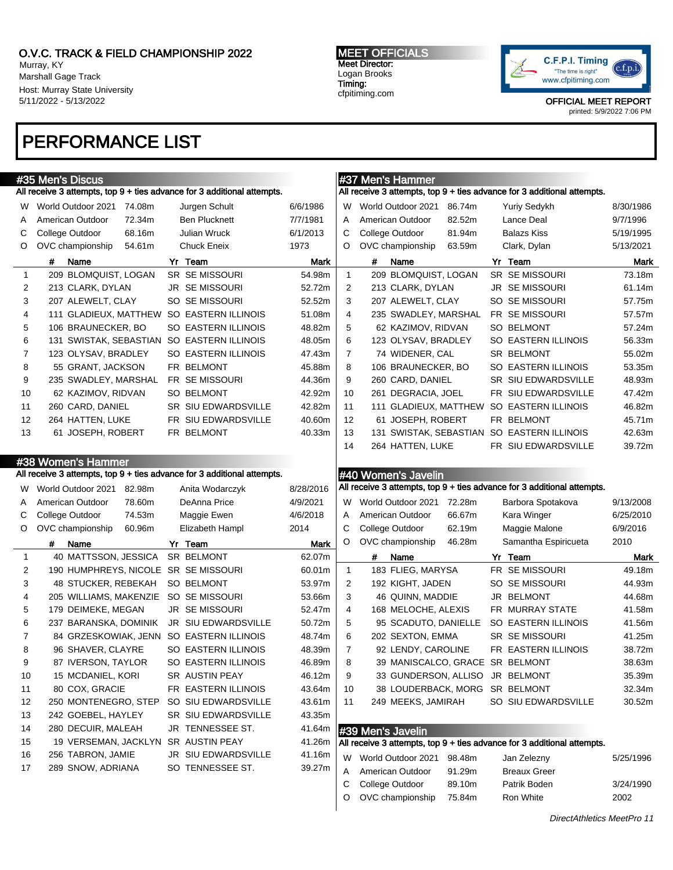Murray, KY Marshall Gage Track Host: Murray State University 5/11/2022 - 5/13/2022

### MEET OFFICIALS Meet Director: Logan Brooks Timing:

cfpitiming.com



OFFICIAL MEET REPORT printed: 5/9/2022 7:06 PM

# PERFORMANCE LIST

|              | #35 Men's Discus                                                        |                            |           |                | #37 Men's Hammer                    |                                                                         |           |
|--------------|-------------------------------------------------------------------------|----------------------------|-----------|----------------|-------------------------------------|-------------------------------------------------------------------------|-----------|
|              | All receive 3 attempts, top 9 + ties advance for 3 additional attempts. |                            |           |                |                                     | All receive 3 attempts, top 9 + ties advance for 3 additional attempts. |           |
| W            | World Outdoor 2021<br>74.08m                                            | Jurgen Schult              | 6/6/1986  | W              | World Outdoor 2021<br>86.74m        | <b>Yuriy Sedykh</b>                                                     | 8/30/1986 |
| A            | American Outdoor<br>72.34m                                              | <b>Ben Plucknett</b>       | 7/7/1981  | Α              | American Outdoor<br>82.52m          | Lance Deal                                                              | 9/7/1996  |
| С            | College Outdoor<br>68.16m                                               | Julian Wruck               | 6/1/2013  | C              | College Outdoor<br>81.94m           | <b>Balazs Kiss</b>                                                      | 5/19/1995 |
| O            | OVC championship<br>54.61m                                              | <b>Chuck Eneix</b>         | 1973      | O              | OVC championship<br>63.59m          | Clark, Dylan                                                            | 5/13/2021 |
|              | #<br>Name                                                               | Yr Team                    | Mark      |                | #<br>Name                           | Yr Team                                                                 | Mark      |
| $\mathbf 1$  | 209 BLOMQUIST, LOGAN                                                    | <b>SR SE MISSOURI</b>      | 54.98m    | $\mathbf{1}$   | 209 BLOMQUIST, LOGAN                | SR SE MISSOURI                                                          | 73.18m    |
| 2            | 213 CLARK, DYLAN                                                        | <b>JR SE MISSOURI</b>      | 52.72m    | 2              | 213 CLARK, DYLAN                    | JR SE MISSOURI                                                          | 61.14m    |
| 3            | 207 ALEWELT, CLAY                                                       | SO SE MISSOURI             | 52.52m    | 3              | 207 ALEWELT, CLAY                   | SO SE MISSOURI                                                          | 57.75m    |
| 4            | 111 GLADIEUX, MATTHEW                                                   | SO EASTERN ILLINOIS        | 51.08m    | 4              | 235 SWADLEY, MARSHAL                | FR SE MISSOURI                                                          | 57.57m    |
| 5            | 106 BRAUNECKER, BO                                                      | <b>SO EASTERN ILLINOIS</b> | 48.82m    | 5              | 62 KAZIMOV, RIDVAN                  | <b>SO BELMONT</b>                                                       | 57.24m    |
| 6            | 131 SWISTAK, SEBASTIAN                                                  | SO EASTERN ILLINOIS        | 48.05m    | 6              | 123 OLYSAV, BRADLEY                 | SO EASTERN ILLINOIS                                                     | 56.33m    |
| 7            | 123 OLYSAV, BRADLEY                                                     | SO EASTERN ILLINOIS        | 47.43m    | $\overline{7}$ | 74 WIDENER, CAL                     | SR BELMONT                                                              | 55.02m    |
| 8            | 55 GRANT, JACKSON                                                       | FR BELMONT                 | 45.88m    | 8              | 106 BRAUNECKER, BO                  | SO EASTERN ILLINOIS                                                     | 53.35m    |
| 9            | 235 SWADLEY, MARSHAL                                                    | FR SE MISSOURI             | 44.36m    | 9              | 260 CARD, DANIEL                    | SR SIU EDWARDSVILLE                                                     | 48.93m    |
| 10           | 62 KAZIMOV, RIDVAN                                                      | SO BELMONT                 | 42.92m    | 10             | 261 DEGRACIA, JOEL                  | FR SIU EDWARDSVILLE                                                     | 47.42m    |
| 11           | 260 CARD, DANIEL                                                        | SR SIU EDWARDSVILLE        | 42.82m    | 11             |                                     | 111 GLADIEUX, MATTHEW SO EASTERN ILLINOIS                               | 46.82m    |
| 12           | 264 HATTEN, LUKE                                                        | FR SIU EDWARDSVILLE        | 40.60m    | 12             | 61 JOSEPH, ROBERT                   | FR BELMONT                                                              | 45.71m    |
| 13           | 61 JOSEPH, ROBERT                                                       | FR BELMONT                 | 40.33m    | 13             |                                     | 131 SWISTAK, SEBASTIAN SO EASTERN ILLINOIS                              | 42.63m    |
|              |                                                                         |                            |           | 14             | 264 HATTEN, LUKE                    | FR SIU EDWARDSVILLE                                                     | 39.72m    |
|              | #38 Women's Hammer                                                      |                            |           |                |                                     |                                                                         |           |
|              | All receive 3 attempts, top 9 + ties advance for 3 additional attempts. |                            |           |                | #40 Women's Javelin                 |                                                                         |           |
|              | World Outdoor 2021                                                      | Anita Wodarczyk            | 8/28/2016 |                |                                     | All receive 3 attempts, top 9 + ties advance for 3 additional attempts. |           |
| W            | 82.98m                                                                  | DeAnna Price               |           |                | World Outdoor 2021<br>72.28m        |                                                                         |           |
| A            | American Outdoor<br>78.60m                                              |                            | 4/9/2021  | W              |                                     | Barbora Spotakova                                                       | 9/13/2008 |
| С            | College Outdoor<br>74.53m                                               | Maggie Ewen                | 4/6/2018  | Α              | American Outdoor<br>66.67m          | Kara Winger                                                             | 6/25/2010 |
| O            | OVC championship<br>60.96m                                              | Elizabeth Hampl            | 2014      | С              | College Outdoor<br>62.19m<br>46.28m | Maggie Malone                                                           | 6/9/2016  |
|              | #<br>Name                                                               | Yr Team                    | Mark      | O              | OVC championship                    | Samantha Espiricueta                                                    | 2010      |
| $\mathbf{1}$ | 40 MATTSSON, JESSICA                                                    | SR BELMONT                 | 62.07m    |                | #<br>Name                           | Yr Team                                                                 | Mark      |
| 2            | 190 HUMPHREYS, NICOLE SR SE MISSOURI                                    |                            | 60.01m    | $\mathbf{1}$   | 183 FLIEG, MARYSA                   | FR SE MISSOURI                                                          | 49.18m    |
| 3            | 48 STUCKER, REBEKAH                                                     | <b>SO BELMONT</b>          | 53.97m    | 2              | 192 KIGHT, JADEN                    | SO SE MISSOURI                                                          | 44.93m    |
| 4            | 205 WILLIAMS, MAKENZIE                                                  | SO SE MISSOURI             | 53.66m    | 3              | 46 QUINN, MADDIE                    | JR BELMONT                                                              | 44.68m    |
| 5            | 179 DEIMEKE, MEGAN                                                      | <b>JR SE MISSOURI</b>      | 52.47m    | 4              | 168 MELOCHE, ALEXIS                 | FR MURRAY STATE                                                         | 41.58m    |
| 6            | 237 BARANSKA, DOMINIK                                                   | JR SIU EDWARDSVILLE        | 50.72m    | 5              | 95 SCADUTO, DANIELLE                | SO EASTERN ILLINOIS                                                     | 41.56m    |
| 7            | 84 GRZESKOWIAK, JENN                                                    | SO EASTERN ILLINOIS        | 48.74m    | 6              | 202 SEXTON, EMMA                    | SR SE MISSOURI                                                          | 41.25m    |
| 8            | 96 SHAVER, CLAYRE                                                       | SO EASTERN ILLINOIS        | 48.39m    | 7              | 92 LENDY, CAROLINE                  | FR EASTERN ILLINOIS                                                     | 38.72m    |
| 9            | 87 IVERSON, TAYLOR                                                      | SO EASTERN ILLINOIS        | 46.89m    | 8              | 39 MANISCALCO, GRACE SR BELMONT     |                                                                         | 38.63m    |
| 10           | 15 MCDANIEL, KORI                                                       | SR AUSTIN PEAY             | 46.12m    | 9              | 33 GUNDERSON, ALLISO JR BELMONT     |                                                                         | 35.39m    |
| 11           | 80 COX, GRACIE                                                          | FR EASTERN ILLINOIS        | 43.64m    | 10             | 38 LOUDERBACK, MORG SR BELMONT      |                                                                         | 32.34m    |
| 12           | 250 MONTENEGRO, STEP                                                    | SO SIU EDWARDSVILLE        | 43.61m    | 11             | 249 MEEKS, JAMIRAH                  | SO SIU EDWARDSVILLE                                                     | 30.52m    |
| 13           | 242 GOEBEL, HAYLEY                                                      | SR SIU EDWARDSVILLE        | 43.35m    |                |                                     |                                                                         |           |
| 14           | 280 DECUIR, MALEAH                                                      | JR TENNESSEE ST.           | 41.64m    |                | #39 Men's Javelin                   |                                                                         |           |
| 15           | 19 VERSEMAN, JACKLYN                                                    | SR AUSTIN PEAY             | 41.26m    |                |                                     | All receive 3 attempts, top 9 + ties advance for 3 additional attempts. |           |
| 16           | 256 TABRON, JAMIE                                                       | JR SIU EDWARDSVILLE        | 41.16m    |                | W World Outdoor 2021<br>98.48m      | Jan Zelezny                                                             | 5/25/1996 |
| 17           | 289 SNOW, ADRIANA                                                       | SO TENNESSEE ST.           | 39.27m    | Α              | American Outdoor<br>91.29m          | <b>Breaux Greer</b>                                                     |           |
|              |                                                                         |                            |           | С              | 89.10m<br>College Outdoor           | Patrik Boden                                                            | 3/24/1990 |
|              |                                                                         |                            |           | O              | OVC championship<br>75.84m          | Ron White                                                               | 2002      |
|              |                                                                         |                            |           |                |                                     |                                                                         |           |